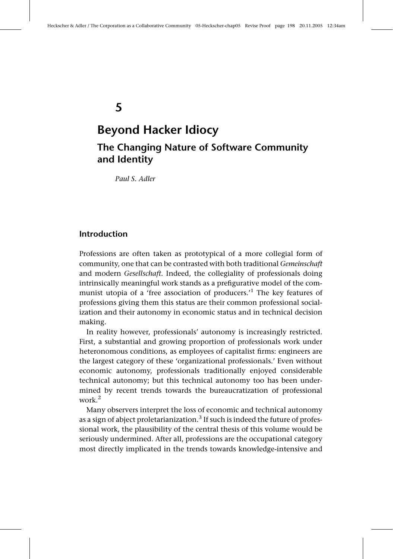# 5

# Beyond Hacker Idiocy

# The Changing Nature of Software Community and Identity

Paul S. Adler

# Introduction

Professions are often taken as prototypical of a more collegial form of community, one that can be contrasted with both traditional Gemeinschaft and modern Gesellschaft. Indeed, the collegiality of professionals doing intrinsically meaningful work stands as a prefigurative model of the communist utopia of a 'free association of producers.'<sup>1</sup> The key features of professions giving them this status are their common professional socialization and their autonomy in economic status and in technical decision making.

In reality however, professionals' autonomy is increasingly restricted. First, a substantial and growing proportion of professionals work under heteronomous conditions, as employees of capitalist firms: engineers are the largest category of these 'organizational professionals.' Even without economic autonomy, professionals traditionally enjoyed considerable technical autonomy; but this technical autonomy too has been undermined by recent trends towards the bureaucratization of professional work.<sup>2</sup>

Many observers interpret the loss of economic and technical autonomy as a sign of abject proletarianization.<sup>3</sup> If such is indeed the future of professional work, the plausibility of the central thesis of this volume would be seriously undermined. After all, professions are the occupational category most directly implicated in the trends towards knowledge-intensive and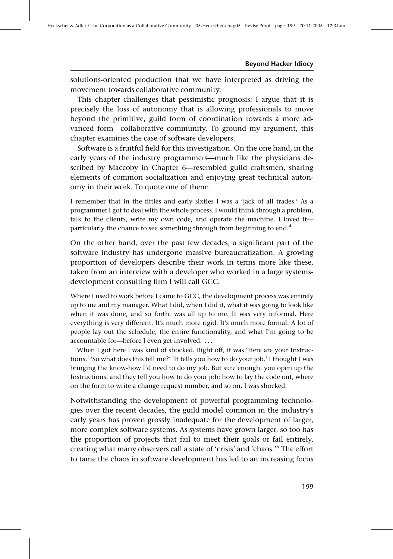solutions-oriented production that we have interpreted as driving the movement towards collaborative community.

This chapter challenges that pessimistic prognosis: I argue that it is precisely the loss of autonomy that is allowing professionals to move beyond the primitive, guild form of coordination towards a more advanced form—collaborative community. To ground my argument, this chapter examines the case of software developers.

Software is a fruitful field for this investigation. On the one hand, in the early years of the industry programmers—much like the physicians described by Maccoby in Chapter 6—resembled guild craftsmen, sharing elements of common socialization and enjoying great technical autonomy in their work. To quote one of them:

I remember that in the fifties and early sixties I was a 'jack of all trades.' As a programmer I got to deal with the whole process. I would think through a problem, talk to the clients, write my own code, and operate the machine. I loved it particularly the chance to see something through from beginning to end. $4$ 

On the other hand, over the past few decades, a significant part of the software industry has undergone massive bureaucratization. A growing proportion of developers describe their work in terms more like these, taken from an interview with a developer who worked in a large systemsdevelopment consulting firm I will call GCC:

Where I used to work before I came to GCC, the development process was entirely up to me and my manager. What I did, when I did it, what it was going to look like when it was done, and so forth, was all up to me. It was very informal. Here everything is very different. It's much more rigid. It's much more formal. A lot of people lay out the schedule, the entire functionality, and what I'm going to be accountable for-before I even get involved. ...

When I got here I was kind of shocked. Right off, it was 'Here are your Instructions.' 'So what does this tell me?' 'It tells you how to do your job.' I thought I was bringing the know-how I'd need to do my job. But sure enough, you open up the Instructions, and they tell you how to do your job: how to lay the code out, where on the form to write a change request number, and so on. I was shocked.

Notwithstanding the development of powerful programming technologies over the recent decades, the guild model common in the industry's early years has proven grossly inadequate for the development of larger, more complex software systems. As systems have grown larger, so too has the proportion of projects that fail to meet their goals or fail entirely, creating what many observers call a state of 'crisis' and 'chaos.'<sup>5</sup> The effort to tame the chaos in software development has led to an increasing focus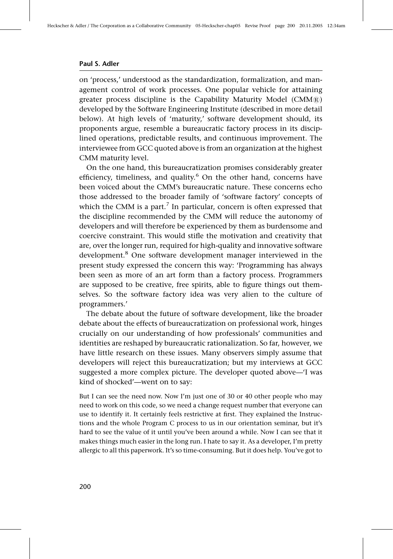on 'process,' understood as the standardization, formalization, and management control of work processes. One popular vehicle for attaining greater process discipline is the Capability Maturity Model (CMM*1*) developed by the Software Engineering Institute (described in more detail below). At high levels of 'maturity,' software development should, its proponents argue, resemble a bureaucratic factory process in its disciplined operations, predictable results, and continuous improvement. The interviewee from GCC quoted above is from an organization at the highest CMM maturity level.

On the one hand, this bureaucratization promises considerably greater efficiency, timeliness, and quality.<sup>6</sup> On the other hand, concerns have been voiced about the CMM's bureaucratic nature. These concerns echo those addressed to the broader family of 'software factory' concepts of which the CMM is a part.<sup>7</sup> In particular, concern is often expressed that the discipline recommended by the CMM will reduce the autonomy of developers and will therefore be experienced by them as burdensome and coercive constraint. This would stifle the motivation and creativity that are, over the longer run, required for high-quality and innovative software development.<sup>8</sup> One software development manager interviewed in the present study expressed the concern this way: 'Programming has always been seen as more of an art form than a factory process. Programmers are supposed to be creative, free spirits, able to figure things out themselves. So the software factory idea was very alien to the culture of programmers.'

The debate about the future of software development, like the broader debate about the effects of bureaucratization on professional work, hinges crucially on our understanding of how professionals' communities and identities are reshaped by bureaucratic rationalization. So far, however, we have little research on these issues. Many observers simply assume that developers will reject this bureaucratization; but my interviews at GCC suggested a more complex picture. The developer quoted above—'I was kind of shocked'—went on to say:

But I can see the need now. Now I'm just one of 30 or 40 other people who may need to work on this code, so we need a change request number that everyone can use to identify it. It certainly feels restrictive at first. They explained the Instructions and the whole Program C process to us in our orientation seminar, but it's hard to see the value of it until you've been around a while. Now I can see that it makes things much easier in the long run. I hate to say it. As a developer, I'm pretty allergic to all this paperwork. It's so time-consuming. But it does help. You've got to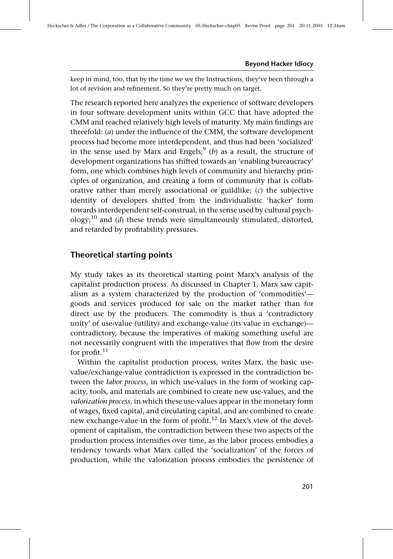keep in mind, too, that by the time we see the Instructions, they've been through a lot of revision and refinement. So they're pretty much on target.

The research reported here analyzes the experience of software developers in four software development units within GCC that have adopted the CMM and reached relatively high levels of maturity. My main findings are threefold: (a) under the influence of the CMM, the software development process had become more interdependent, and thus had been 'socialized' in the sense used by Marx and Engels;  $\binom{9}{2}$  (b) as a result, the structure of development organizations has shifted towards an 'enabling bureaucracy' form, one which combines high levels of community and hierarchy principles of organization, and creating a form of community that is collaborative rather than merely associational or guildlike; (c) the subjective identity of developers shifted from the individualistic 'hacker' form towards interdependent self-construal, in the sense used by cultural psychology;<sup>10</sup> and (*d*) these trends were simultaneously stimulated, distorted, and retarded by profitability pressures.

# Theoretical starting points

My study takes as its theoretical starting point Marx's analysis of the capitalist production process. As discussed in Chapter 1, Marx saw capitalism as a system characterized by the production of 'commodities' goods and services produced for sale on the market rather than for direct use by the producers. The commodity is thus a 'contradictory unity' of use-value (utility) and exchange-value (its value in exchange) contradictory, because the imperatives of making something useful are not necessarily congruent with the imperatives that flow from the desire for profit. $^{11}$ 

Within the capitalist production process, writes Marx, the basic usevalue/exchange-value contradiction is expressed in the contradiction between the *labor process*, in which use-values in the form of working capacity, tools, and materials are combined to create new use-values, and the valorization process, in which these use-values appear in the monetary form of wages, fixed capital, and circulating capital, and are combined to create new exchange-value in the form of profit.<sup>12</sup> In Marx's view of the development of capitalism, the contradiction between these two aspects of the production process intensifies over time, as the labor process embodies a tendency towards what Marx called the 'socialization' of the forces of production, while the valorization process embodies the persistence of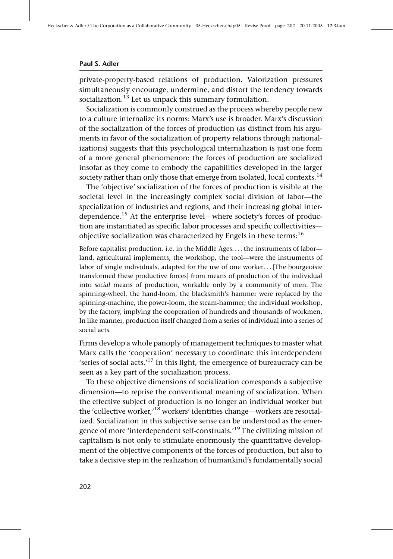private-property-based relations of production. Valorization pressures simultaneously encourage, undermine, and distort the tendency towards socialization.<sup>13</sup> Let us unpack this summary formulation.

Socialization is commonly construed as the process whereby people new to a culture internalize its norms: Marx's use is broader. Marx's discussion of the socialization of the forces of production (as distinct from his arguments in favor of the socialization of property relations through nationalizations) suggests that this psychological internalization is just one form of a more general phenomenon: the forces of production are socialized insofar as they come to embody the capabilities developed in the larger society rather than only those that emerge from isolated, local contexts.<sup>14</sup>

The 'objective' socialization of the forces of production is visible at the societal level in the increasingly complex social division of labor—the specialization of industries and regions, and their increasing global interdependence.<sup>15</sup> At the enterprise level—where society's forces of production are instantiated as specific labor processes and specific collectivities objective socialization was characterized by Engels in these terms:  $16$ 

Before capitalist production. i.e. in the Middle Ages. . . . the instruments of labor land, agricultural implements, the workshop, the tool—were the instruments of labor of single individuals, adapted for the use of one worker. . . [The bourgeoisie transformed these productive forces] from means of production of the individual into social means of production, workable only by a community of men. The spinning-wheel, the hand-loom, the blacksmith's hammer were replaced by the spinning-machine, the power-loom, the steam-hammer; the individual workshop, by the factory, implying the cooperation of hundreds and thousands of workmen. In like manner, production itself changed from a series of individual into a series of social acts.

Firms develop a whole panoply of management techniques to master what Marx calls the 'cooperation' necessary to coordinate this interdependent 'series of social acts.'<sup>17</sup> In this light, the emergence of bureaucracy can be seen as a key part of the socialization process.

To these objective dimensions of socialization corresponds a subjective dimension—to reprise the conventional meaning of socialization. When the effective subject of production is no longer an individual worker but the 'collective worker,'<sup>18</sup> workers' identities change—workers are resocialized. Socialization in this subjective sense can be understood as the emergence of more 'interdependent self-construals.'<sup>19</sup> The civilizing mission of capitalism is not only to stimulate enormously the quantitative development of the objective components of the forces of production, but also to take a decisive step in the realization of humankind's fundamentally social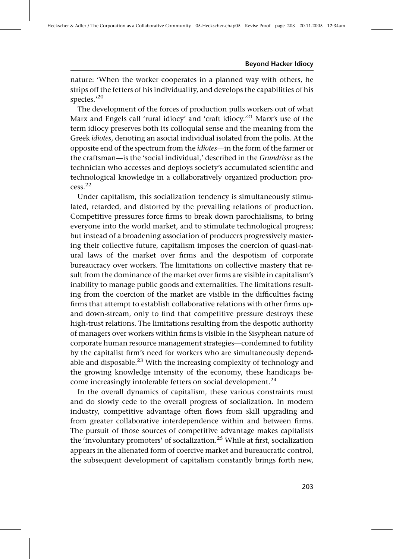nature: 'When the worker cooperates in a planned way with others, he strips off the fetters of his individuality, and develops the capabilities of his species.'<sup>20</sup>

The development of the forces of production pulls workers out of what Marx and Engels call 'rural idiocy' and 'craft idiocy.'<sup>21</sup> Marx's use of the term idiocy preserves both its colloquial sense and the meaning from the Greek idiotes, denoting an asocial individual isolated from the polis. At the opposite end of the spectrum from the idiotes—in the form of the farmer or the craftsman—is the 'social individual,' described in the Grundrisse as the technician who accesses and deploys society's accumulated scientific and technological knowledge in a collaboratively organized production process.22

Under capitalism, this socialization tendency is simultaneously stimulated, retarded, and distorted by the prevailing relations of production. Competitive pressures force firms to break down parochialisms, to bring everyone into the world market, and to stimulate technological progress; but instead of a broadening association of producers progressively mastering their collective future, capitalism imposes the coercion of quasi-natural laws of the market over firms and the despotism of corporate bureaucracy over workers. The limitations on collective mastery that result from the dominance of the market over firms are visible in capitalism's inability to manage public goods and externalities. The limitations resulting from the coercion of the market are visible in the difficulties facing firms that attempt to establish collaborative relations with other firms upand down-stream, only to find that competitive pressure destroys these high-trust relations. The limitations resulting from the despotic authority of managers over workers within firms is visible in the Sisyphean nature of corporate human resource management strategies—condemned to futility by the capitalist firm's need for workers who are simultaneously dependable and disposable. $^{23}$  With the increasing complexity of technology and the growing knowledge intensity of the economy, these handicaps become increasingly intolerable fetters on social development.<sup>24</sup>

In the overall dynamics of capitalism, these various constraints must and do slowly cede to the overall progress of socialization. In modern industry, competitive advantage often flows from skill upgrading and from greater collaborative interdependence within and between firms. The pursuit of those sources of competitive advantage makes capitalists the 'involuntary promoters' of socialization.<sup>25</sup> While at first, socialization appears in the alienated form of coercive market and bureaucratic control, the subsequent development of capitalism constantly brings forth new,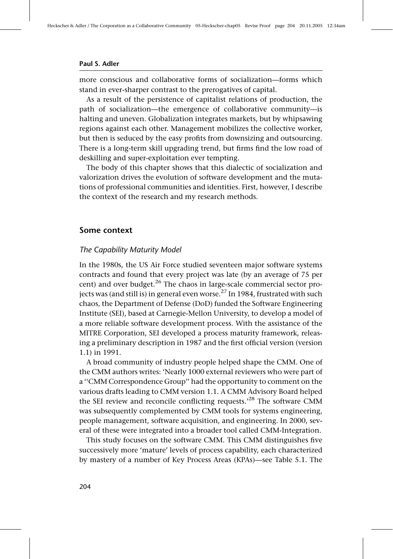more conscious and collaborative forms of socialization—forms which stand in ever-sharper contrast to the prerogatives of capital.

As a result of the persistence of capitalist relations of production, the path of socialization—the emergence of collaborative community—is halting and uneven. Globalization integrates markets, but by whipsawing regions against each other. Management mobilizes the collective worker, but then is seduced by the easy profits from downsizing and outsourcing. There is a long-term skill upgrading trend, but firms find the low road of deskilling and super-exploitation ever tempting.

The body of this chapter shows that this dialectic of socialization and valorization drives the evolution of software development and the mutations of professional communities and identities. First, however, I describe the context of the research and my research methods.

## Some context

## The Capability Maturity Model

In the 1980s, the US Air Force studied seventeen major software systems contracts and found that every project was late (by an average of 75 per cent) and over budget.<sup>26</sup> The chaos in large-scale commercial sector projects was (and still is) in general even worse.<sup>27</sup> In 1984, frustrated with such chaos, the Department of Defense (DoD) funded the Software Engineering Institute (SEI), based at Carnegie-Mellon University, to develop a model of a more reliable software development process. With the assistance of the MITRE Corporation, SEI developed a process maturity framework, releasing a preliminary description in 1987 and the first official version (version 1.1) in 1991.

A broad community of industry people helped shape the CMM. One of the CMM authors writes: 'Nearly 1000 external reviewers who were part of a ''CMM Correspondence Group'' had the opportunity to comment on the various drafts leading to CMM version 1.1. A CMM Advisory Board helped the SEI review and reconcile conflicting requests.<sup>28</sup> The software CMM was subsequently complemented by CMM tools for systems engineering, people management, software acquisition, and engineering. In 2000, several of these were integrated into a broader tool called CMM-Integration.

This study focuses on the software CMM. This CMM distinguishes five successively more 'mature' levels of process capability, each characterized by mastery of a number of Key Process Areas (KPAs)—see Table 5.1. The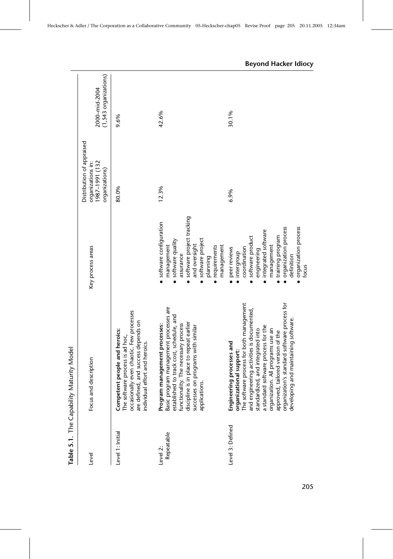| Level                  | Focus and description                                                                                                                                                                                                                                                                                                                                                                     | Key process areas                                                                                                                                                                                             | Distribution of appraised<br>1987-1991 (132<br>organizations in:<br>organizations) | (1,543 organizations)<br>2000-mid-2004 |
|------------------------|-------------------------------------------------------------------------------------------------------------------------------------------------------------------------------------------------------------------------------------------------------------------------------------------------------------------------------------------------------------------------------------------|---------------------------------------------------------------------------------------------------------------------------------------------------------------------------------------------------------------|------------------------------------------------------------------------------------|----------------------------------------|
| Level 1: Initial       | occasionally even chaotic. Few processes<br>are defined, and success depends on<br>Competent people and heroics:<br>The software process is ad hoc,<br>individual effort and heroics.                                                                                                                                                                                                     |                                                                                                                                                                                                               | 80.0%                                                                              | 9.6%                                   |
| Repeatable<br>Level 2: | Basic program management processes are<br>established to track cost, schedule, and<br>discipline is in place to repeat earlier<br>rogram management processes:<br>functionality. The necessary process<br>successes on programs with similar<br>applications.                                                                                                                             | software project tracking<br>· software configuration<br>software project<br>software quality<br>management<br>management<br>and oversight<br>· requirements<br>assurance<br>planning                         | 12.3%                                                                              | 42.6%                                  |
| Level 3: Defined       | The software process for both management<br>organization's standard software process for<br>and engineering activities is documented,<br>eveloping and maintaining software<br>a standard software process for the<br>standardized, and integrated into<br>organization. All programs use an<br>approved, tailored version of the<br>ingineering processes and<br>organizational support: | organization process<br>organization process<br>integrated software<br>software product<br>training program<br>management<br>peer reviews<br>coordination<br>engineering<br>intergroup<br>definition<br>focus | 6.9%                                                                               | 30.1%                                  |

Table 5.1. The Capability Maturity Model Table 5.1. The Capability Maturity Model

Beyond Hacker Idiocy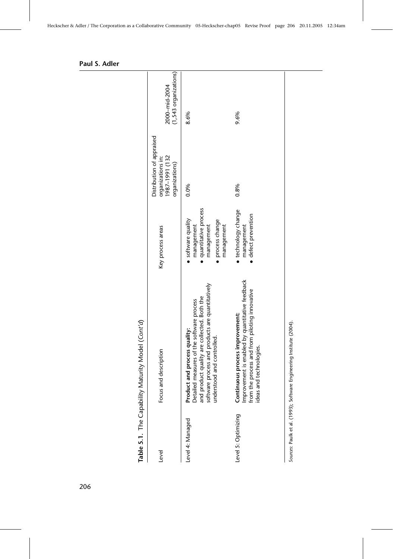|                               | Table 5.1. The Capability Maturity Model (Cont'd)                                                                                                                                                          |                                                                                                        |                                                                                    |                                        |
|-------------------------------|------------------------------------------------------------------------------------------------------------------------------------------------------------------------------------------------------------|--------------------------------------------------------------------------------------------------------|------------------------------------------------------------------------------------|----------------------------------------|
| Level                         | Focus and description                                                                                                                                                                                      | Key process areas                                                                                      | Distribution of appraised<br>1987-1991 (132<br>organizations in:<br>organizations) | (1,543 organizations)<br>2000-mid-2004 |
| Level 4: Managed              | software process and products are quantitatively<br>and product quality are collected. Both the<br>Detailed measures of the software process<br>Product and process quality:<br>understood and controlled. | · quantitative process<br>software quality<br>process change<br>management<br>management<br>management | 0.0%                                                                               | 8.6%                                   |
| Level 5: Optimizing           | Improvement is enabled by quantitative feedback<br>from the process and from piloting innovative<br>Continuous process improvement:<br>ideas and technologies.                                             | · technology change<br>defect prevention<br>management                                                 | 0.8%                                                                               | 9.6%                                   |
| Sources: Paulk et al. (1993); | Software Engineering Institute (2004).                                                                                                                                                                     |                                                                                                        |                                                                                    |                                        |

206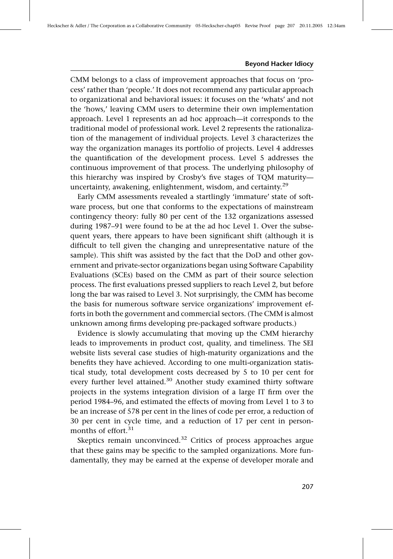CMM belongs to a class of improvement approaches that focus on 'process' rather than 'people.' It does not recommend any particular approach to organizational and behavioral issues: it focuses on the 'whats' and not the 'hows,' leaving CMM users to determine their own implementation approach. Level 1 represents an ad hoc approach—it corresponds to the traditional model of professional work. Level 2 represents the rationalization of the management of individual projects. Level 3 characterizes the way the organization manages its portfolio of projects. Level 4 addresses the quantification of the development process. Level 5 addresses the continuous improvement of that process. The underlying philosophy of this hierarchy was inspired by Crosby's five stages of TQM maturity uncertainty, awakening, enlightenment, wisdom, and certainty. $^{29}$ 

Early CMM assessments revealed a startlingly 'immature' state of software process, but one that conforms to the expectations of mainstream contingency theory: fully 80 per cent of the 132 organizations assessed during 1987–91 were found to be at the ad hoc Level 1. Over the subsequent years, there appears to have been significant shift (although it is difficult to tell given the changing and unrepresentative nature of the sample). This shift was assisted by the fact that the DoD and other government and private-sector organizations began using Software Capability Evaluations (SCEs) based on the CMM as part of their source selection process. The first evaluations pressed suppliers to reach Level 2, but before long the bar was raised to Level 3. Not surprisingly, the CMM has become the basis for numerous software service organizations' improvement efforts in both the government and commercial sectors. (The CMM is almost unknown among firms developing pre-packaged software products.)

Evidence is slowly accumulating that moving up the CMM hierarchy leads to improvements in product cost, quality, and timeliness. The SEI website lists several case studies of high-maturity organizations and the benefits they have achieved. According to one multi-organization statistical study, total development costs decreased by 5 to 10 per cent for every further level attained.<sup>30</sup> Another study examined thirty software projects in the systems integration division of a large IT firm over the period 1984–96, and estimated the effects of moving from Level 1 to 3 to be an increase of 578 per cent in the lines of code per error, a reduction of 30 per cent in cycle time, and a reduction of 17 per cent in personmonths of effort. $31$ 

Skeptics remain unconvinced.<sup>32</sup> Critics of process approaches argue that these gains may be specific to the sampled organizations. More fundamentally, they may be earned at the expense of developer morale and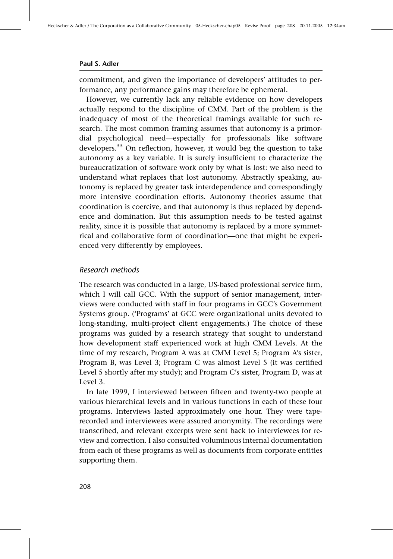commitment, and given the importance of developers' attitudes to performance, any performance gains may therefore be ephemeral.

However, we currently lack any reliable evidence on how developers actually respond to the discipline of CMM. Part of the problem is the inadequacy of most of the theoretical framings available for such research. The most common framing assumes that autonomy is a primordial psychological need—especially for professionals like software developers.<sup>33</sup> On reflection, however, it would beg the question to take autonomy as a key variable. It is surely insufficient to characterize the bureaucratization of software work only by what is lost: we also need to understand what replaces that lost autonomy. Abstractly speaking, autonomy is replaced by greater task interdependence and correspondingly more intensive coordination efforts. Autonomy theories assume that coordination is coercive, and that autonomy is thus replaced by dependence and domination. But this assumption needs to be tested against reality, since it is possible that autonomy is replaced by a more symmetrical and collaborative form of coordination—one that might be experienced very differently by employees.

## Research methods

The research was conducted in a large, US-based professional service firm, which I will call GCC. With the support of senior management, interviews were conducted with staff in four programs in GCC's Government Systems group. ('Programs' at GCC were organizational units devoted to long-standing, multi-project client engagements.) The choice of these programs was guided by a research strategy that sought to understand how development staff experienced work at high CMM Levels. At the time of my research, Program A was at CMM Level 5; Program A's sister, Program B, was Level 3; Program C was almost Level 5 (it was certified Level 5 shortly after my study); and Program C's sister, Program D, was at Level 3.

In late 1999, I interviewed between fifteen and twenty-two people at various hierarchical levels and in various functions in each of these four programs. Interviews lasted approximately one hour. They were taperecorded and interviewees were assured anonymity. The recordings were transcribed, and relevant excerpts were sent back to interviewees for review and correction. I also consulted voluminous internal documentation from each of these programs as well as documents from corporate entities supporting them.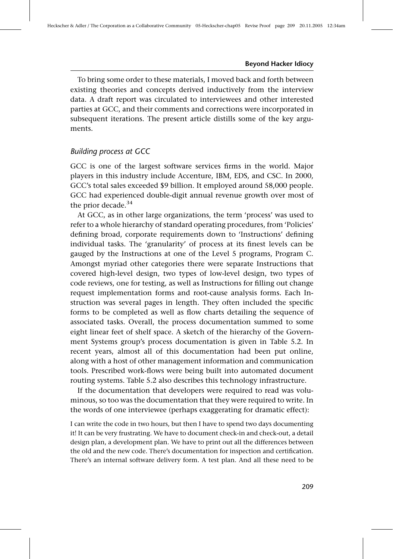To bring some order to these materials, I moved back and forth between existing theories and concepts derived inductively from the interview data. A draft report was circulated to interviewees and other interested parties at GCC, and their comments and corrections were incorporated in subsequent iterations. The present article distills some of the key arguments.

# Building process at GCC

GCC is one of the largest software services firms in the world. Major players in this industry include Accenture, IBM, EDS, and CSC. In 2000, GCC's total sales exceeded \$9 billion. It employed around 58,000 people. GCC had experienced double-digit annual revenue growth over most of the prior decade. $34$ 

At GCC, as in other large organizations, the term 'process' was used to refer to a whole hierarchy of standard operating procedures, from 'Policies' defining broad, corporate requirements down to 'Instructions' defining individual tasks. The 'granularity' of process at its finest levels can be gauged by the Instructions at one of the Level 5 programs, Program C. Amongst myriad other categories there were separate Instructions that covered high-level design, two types of low-level design, two types of code reviews, one for testing, as well as Instructions for filling out change request implementation forms and root-cause analysis forms. Each Instruction was several pages in length. They often included the specific forms to be completed as well as flow charts detailing the sequence of associated tasks. Overall, the process documentation summed to some eight linear feet of shelf space. A sketch of the hierarchy of the Government Systems group's process documentation is given in Table 5.2. In recent years, almost all of this documentation had been put online, along with a host of other management information and communication tools. Prescribed work-flows were being built into automated document routing systems. Table 5.2 also describes this technology infrastructure.

If the documentation that developers were required to read was voluminous, so too was the documentation that they were required to write. In the words of one interviewee (perhaps exaggerating for dramatic effect):

I can write the code in two hours, but then I have to spend two days documenting it! It can be very frustrating. We have to document check-in and check-out, a detail design plan, a development plan. We have to print out all the differences between the old and the new code. There's documentation for inspection and certification. There's an internal software delivery form. A test plan. And all these need to be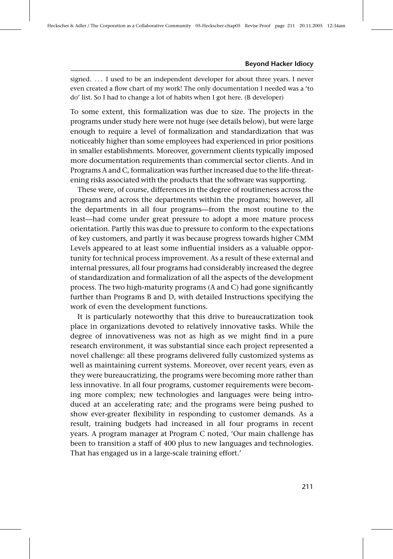signed. . . . I used to be an independent developer for about three years. I never even created a flow chart of my work! The only documentation I needed was a 'to do' list. So I had to change a lot of habits when I got here. (B developer)

To some extent, this formalization was due to size. The projects in the programs under study here were not huge (see details below), but were large enough to require a level of formalization and standardization that was noticeably higher than some employees had experienced in prior positions in smaller establishments. Moreover, government clients typically imposed more documentation requirements than commercial sector clients. And in Programs A and C, formalization was further increased due to the life-threatening risks associated with the products that the software was supporting.

These were, of course, differences in the degree of routineness across the programs and across the departments within the programs; however, all the departments in all four programs—from the most routine to the least—had come under great pressure to adopt a more mature process orientation. Partly this was due to pressure to conform to the expectations of key customers, and partly it was because progress towards higher CMM Levels appeared to at least some influential insiders as a valuable opportunity for technical process improvement. As a result of these external and internal pressures, all four programs had considerably increased the degree of standardization and formalization of all the aspects of the development process. The two high-maturity programs (A and C) had gone significantly further than Programs B and D, with detailed Instructions specifying the work of even the development functions.

It is particularly noteworthy that this drive to bureaucratization took place in organizations devoted to relatively innovative tasks. While the degree of innovativeness was not as high as we might find in a pure research environment, it was substantial since each project represented a novel challenge: all these programs delivered fully customized systems as well as maintaining current systems. Moreover, over recent years, even as they were bureaucratizing, the programs were becoming more rather than less innovative. In all four programs, customer requirements were becoming more complex; new technologies and languages were being introduced at an accelerating rate; and the programs were being pushed to show ever-greater flexibility in responding to customer demands. As a result, training budgets had increased in all four programs in recent years. A program manager at Program C noted, 'Our main challenge has been to transition a staff of 400 plus to new languages and technologies. That has engaged us in a large-scale training effort.'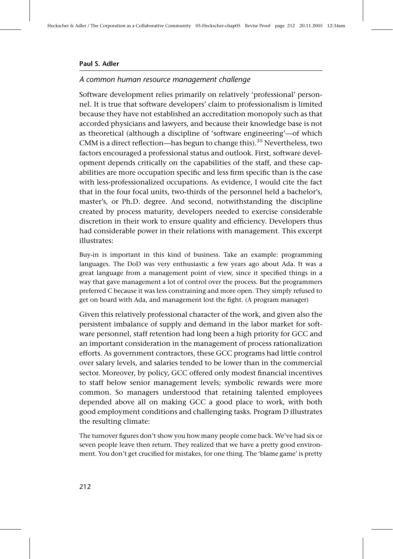## A common human resource management challenge

Software development relies primarily on relatively 'professional' personnel. It is true that software developers' claim to professionalism is limited because they have not established an accreditation monopoly such as that accorded physicians and lawyers, and because their knowledge base is not as theoretical (although a discipline of 'software engineering'—of which CMM is a direct reflection—has begun to change this).<sup>35</sup> Nevertheless, two factors encouraged a professional status and outlook. First, software development depends critically on the capabilities of the staff, and these capabilities are more occupation specific and less firm specific than is the case with less-professionalized occupations. As evidence, I would cite the fact that in the four focal units, two-thirds of the personnel held a bachelor's, master's, or Ph.D. degree. And second, notwithstanding the discipline created by process maturity, developers needed to exercise considerable discretion in their work to ensure quality and efficiency. Developers thus had considerable power in their relations with management. This excerpt illustrates:

Buy-in is important in this kind of business. Take an example: programming languages. The DoD was very enthusiastic a few years ago about Ada. It was a great language from a management point of view, since it specified things in a way that gave management a lot of control over the process. But the programmers preferred C because it was less constraining and more open. They simply refused to get on board with Ada, and management lost the fight. (A program manager)

Given this relatively professional character of the work, and given also the persistent imbalance of supply and demand in the labor market for software personnel, staff retention had long been a high priority for GCC and an important consideration in the management of process rationalization efforts. As government contractors, these GCC programs had little control over salary levels, and salaries tended to be lower than in the commercial sector. Moreover, by policy, GCC offered only modest financial incentives to staff below senior management levels; symbolic rewards were more common. So managers understood that retaining talented employees depended above all on making GCC a good place to work, with both good employment conditions and challenging tasks. Program D illustrates the resulting climate:

The turnover figures don't show you how many people come back. We've had six or seven people leave then return. They realized that we have a pretty good environment. You don't get crucified for mistakes, for one thing. The 'blame game' is pretty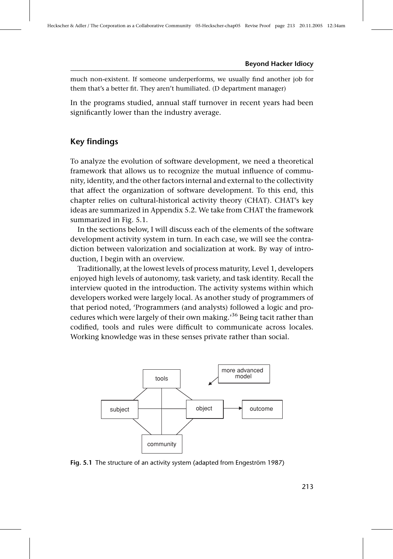much non-existent. If someone underperforms, we usually find another job for them that's a better fit. They aren't humiliated. (D department manager)

In the programs studied, annual staff turnover in recent years had been significantly lower than the industry average.

# Key findings

To analyze the evolution of software development, we need a theoretical framework that allows us to recognize the mutual influence of community, identity, and the other factors internal and external to the collectivity that affect the organization of software development. To this end, this chapter relies on cultural-historical activity theory (CHAT). CHAT's key ideas are summarized in Appendix 5.2. We take from CHAT the framework summarized in Fig. 5.1.

In the sections below, I will discuss each of the elements of the software development activity system in turn. In each case, we will see the contradiction between valorization and socialization at work. By way of introduction, I begin with an overview.

Traditionally, at the lowest levels of process maturity, Level 1, developers enjoyed high levels of autonomy, task variety, and task identity. Recall the interview quoted in the introduction. The activity systems within which developers worked were largely local. As another study of programmers of that period noted, 'Programmers (and analysts) followed a logic and procedures which were largely of their own making.'<sup>36</sup> Being tacit rather than codified, tools and rules were difficult to communicate across locales. Working knowledge was in these senses private rather than social.



Fig. 5.1 The structure of an activity system (adapted from Engeström 1987)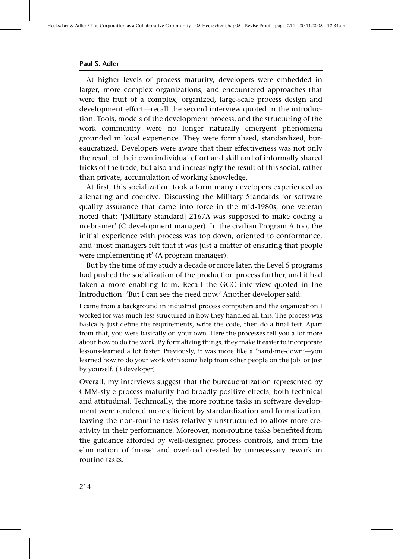At higher levels of process maturity, developers were embedded in larger, more complex organizations, and encountered approaches that were the fruit of a complex, organized, large-scale process design and development effort—recall the second interview quoted in the introduction. Tools, models of the development process, and the structuring of the work community were no longer naturally emergent phenomena grounded in local experience. They were formalized, standardized, bureaucratized. Developers were aware that their effectiveness was not only the result of their own individual effort and skill and of informally shared tricks of the trade, but also and increasingly the result of this social, rather than private, accumulation of working knowledge.

At first, this socialization took a form many developers experienced as alienating and coercive. Discussing the Military Standards for software quality assurance that came into force in the mid-1980s, one veteran noted that: '[Military Standard] 2167A was supposed to make coding a no-brainer' (C development manager). In the civilian Program A too, the initial experience with process was top down, oriented to conformance, and 'most managers felt that it was just a matter of ensuring that people were implementing it' (A program manager).

But by the time of my study a decade or more later, the Level 5 programs had pushed the socialization of the production process further, and it had taken a more enabling form. Recall the GCC interview quoted in the Introduction: 'But I can see the need now.' Another developer said:

I came from a background in industrial process computers and the organization I worked for was much less structured in how they handled all this. The process was basically just define the requirements, write the code, then do a final test. Apart from that, you were basically on your own. Here the processes tell you a lot more about how to do the work. By formalizing things, they make it easier to incorporate lessons-learned a lot faster. Previously, it was more like a 'hand-me-down'—you learned how to do your work with some help from other people on the job, or just by yourself. (B developer)

Overall, my interviews suggest that the bureaucratization represented by CMM-style process maturity had broadly positive effects, both technical and attitudinal. Technically, the more routine tasks in software development were rendered more efficient by standardization and formalization, leaving the non-routine tasks relatively unstructured to allow more creativity in their performance. Moreover, non-routine tasks benefited from the guidance afforded by well-designed process controls, and from the elimination of 'noise' and overload created by unnecessary rework in routine tasks.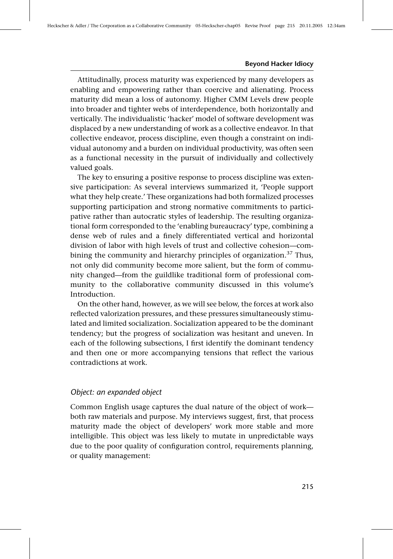Attitudinally, process maturity was experienced by many developers as enabling and empowering rather than coercive and alienating. Process maturity did mean a loss of autonomy. Higher CMM Levels drew people into broader and tighter webs of interdependence, both horizontally and vertically. The individualistic 'hacker' model of software development was displaced by a new understanding of work as a collective endeavor. In that collective endeavor, process discipline, even though a constraint on individual autonomy and a burden on individual productivity, was often seen as a functional necessity in the pursuit of individually and collectively valued goals.

The key to ensuring a positive response to process discipline was extensive participation: As several interviews summarized it, 'People support what they help create.' These organizations had both formalized processes supporting participation and strong normative commitments to participative rather than autocratic styles of leadership. The resulting organizational form corresponded to the 'enabling bureaucracy' type, combining a dense web of rules and a finely differentiated vertical and horizontal division of labor with high levels of trust and collective cohesion—combining the community and hierarchy principles of organization. $37$  Thus, not only did community become more salient, but the form of community changed—from the guildlike traditional form of professional community to the collaborative community discussed in this volume's Introduction.

On the other hand, however, as we will see below, the forces at work also reflected valorization pressures, and these pressures simultaneously stimulated and limited socialization. Socialization appeared to be the dominant tendency; but the progress of socialization was hesitant and uneven. In each of the following subsections, I first identify the dominant tendency and then one or more accompanying tensions that reflect the various contradictions at work.

## Object: an expanded object

Common English usage captures the dual nature of the object of work both raw materials and purpose. My interviews suggest, first, that process maturity made the object of developers' work more stable and more intelligible. This object was less likely to mutate in unpredictable ways due to the poor quality of configuration control, requirements planning, or quality management: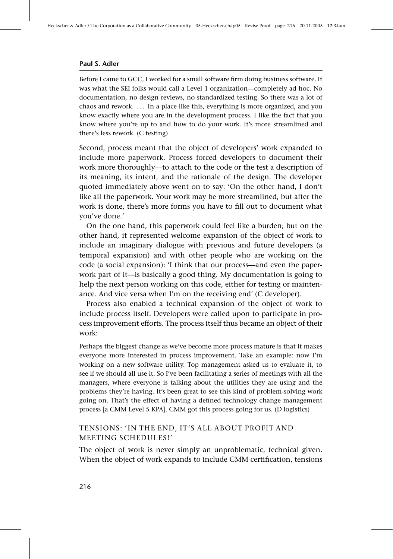Before I came to GCC, I worked for a small software firm doing business software. It was what the SEI folks would call a Level 1 organization—completely ad hoc. No documentation, no design reviews, no standardized testing. So there was a lot of chaos and rework. . . . In a place like this, everything is more organized, and you know exactly where you are in the development process. I like the fact that you know where you're up to and how to do your work. It's more streamlined and there's less rework. (C testing)

Second, process meant that the object of developers' work expanded to include more paperwork. Process forced developers to document their work more thoroughly—to attach to the code or the test a description of its meaning, its intent, and the rationale of the design. The developer quoted immediately above went on to say: 'On the other hand, I don't like all the paperwork. Your work may be more streamlined, but after the work is done, there's more forms you have to fill out to document what you've done.'

On the one hand, this paperwork could feel like a burden; but on the other hand, it represented welcome expansion of the object of work to include an imaginary dialogue with previous and future developers (a temporal expansion) and with other people who are working on the code (a social expansion): 'I think that our process—and even the paperwork part of it—is basically a good thing. My documentation is going to help the next person working on this code, either for testing or maintenance. And vice versa when I'm on the receiving end' (C developer).

Process also enabled a technical expansion of the object of work to include process itself. Developers were called upon to participate in process improvement efforts. The process itself thus became an object of their work:

Perhaps the biggest change as we've become more process mature is that it makes everyone more interested in process improvement. Take an example: now I'm working on a new software utility. Top management asked us to evaluate it, to see if we should all use it. So I've been facilitating a series of meetings with all the managers, where everyone is talking about the utilities they are using and the problems they're having. It's been great to see this kind of problem-solving work going on. That's the effect of having a defined technology change management process [a CMM Level 5 KPA]. CMM got this process going for us. (D logistics)

# TENSIONS: 'IN THE END, IT'S ALL ABOUT PROFIT AND MEETING SCHEDULES!'

The object of work is never simply an unproblematic, technical given. When the object of work expands to include CMM certification, tensions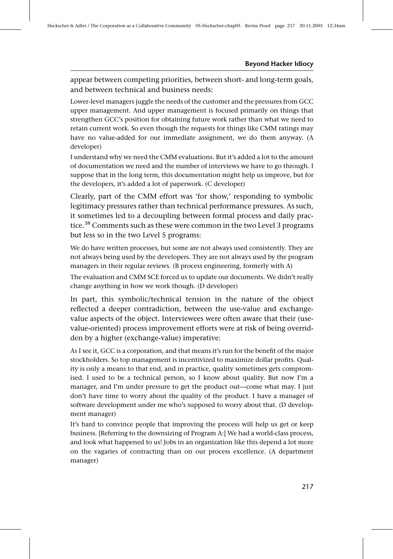appear between competing priorities, between short- and long-term goals, and between technical and business needs:

Lower-level managers juggle the needs of the customer and the pressures from GCC upper management. And upper management is focused primarily on things that strengthen GCC's position for obtaining future work rather than what we need to retain current work. So even though the requests for things like CMM ratings may have no value-added for our immediate assignment, we do them anyway. (A developer)

I understand why we need the CMM evaluations. But it's added a lot to the amount of documentation we need and the number of interviews we have to go through. I suppose that in the long term, this documentation might help us improve, but for the developers, it's added a lot of paperwork. (C developer)

Clearly, part of the CMM effort was 'for show,' responding to symbolic legitimacy pressures rather than technical performance pressures. As such, it sometimes led to a decoupling between formal process and daily practice.<sup>38</sup> Comments such as these were common in the two Level 3 programs but less so in the two Level 5 programs:

We do have written processes, but some are not always used consistently. They are not always being used by the developers. They are not always used by the program managers in their regular reviews. (B process engineering, formerly with A)

The evaluation and CMM SCE forced us to update our documents. We didn't really change anything in how we work though. (D developer)

In part, this symbolic/technical tension in the nature of the object reflected a deeper contradiction, between the use-value and exchangevalue aspects of the object. Interviewees were often aware that their (usevalue-oriented) process improvement efforts were at risk of being overridden by a higher (exchange-value) imperative:

As I see it, GCC is a corporation, and that means it's run for the benefit of the major stockholders. So top management is incentivized to maximize dollar profits. Quality is only a means to that end, and in practice, quality sometimes gets compromised. I used to be a technical person, so I know about quality. But now I'm a manager, and I'm under pressure to get the product out—come what may. I just don't have time to worry about the quality of the product. I have a manager of software development under me who's supposed to worry about that. (D development manager)

It's hard to convince people that improving the process will help us get or keep business. [Referring to the downsizing of Program A:] We had a world-class process, and look what happened to us! Jobs in an organization like this depend a lot more on the vagaries of contracting than on our process excellence. (A department manager)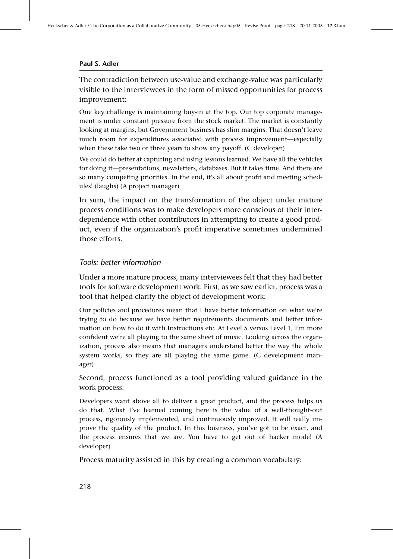The contradiction between use-value and exchange-value was particularly visible to the interviewees in the form of missed opportunities for process improvement:

One key challenge is maintaining buy-in at the top. Our top corporate management is under constant pressure from the stock market. The market is constantly looking at margins, but Government business has slim margins. That doesn't leave much room for expenditures associated with process improvement—especially when these take two or three years to show any payoff. (C developer)

We could do better at capturing and using lessons learned. We have all the vehicles for doing it—presentations, newsletters, databases. But it takes time. And there are so many competing priorities. In the end, it's all about profit and meeting schedules! (laughs) (A project manager)

In sum, the impact on the transformation of the object under mature process conditions was to make developers more conscious of their interdependence with other contributors in attempting to create a good product, even if the organization's profit imperative sometimes undermined those efforts.

# Tools: better information

Under a more mature process, many interviewees felt that they had better tools for software development work. First, as we saw earlier, process was a tool that helped clarify the object of development work:

Our policies and procedures mean that I have better information on what we're trying to do because we have better requirements documents and better information on how to do it with Instructions etc. At Level 5 versus Level 1, I'm more confident we're all playing to the same sheet of music. Looking across the organization, process also means that managers understand better the way the whole system works, so they are all playing the same game. (C development manager)

Second, process functioned as a tool providing valued guidance in the work process:

Developers want above all to deliver a great product, and the process helps us do that. What I've learned coming here is the value of a well-thought-out process, rigorously implemented, and continuously improved. It will really improve the quality of the product. In this business, you've got to be exact, and the process ensures that we are. You have to get out of hacker mode! (A developer)

Process maturity assisted in this by creating a common vocabulary: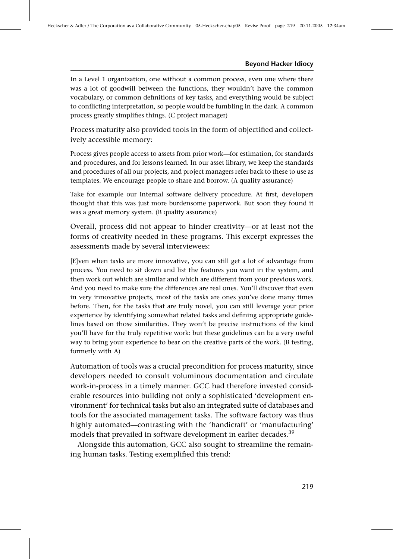In a Level 1 organization, one without a common process, even one where there was a lot of goodwill between the functions, they wouldn't have the common vocabulary, or common definitions of key tasks, and everything would be subject to conflicting interpretation, so people would be fumbling in the dark. A common process greatly simplifies things. (C project manager)

Process maturity also provided tools in the form of objectified and collectively accessible memory:

Process gives people access to assets from prior work—for estimation, for standards and procedures, and for lessons learned. In our asset library, we keep the standards and procedures of all our projects, and project managers refer back to these to use as templates. We encourage people to share and borrow. (A quality assurance)

Take for example our internal software delivery procedure. At first, developers thought that this was just more burdensome paperwork. But soon they found it was a great memory system. (B quality assurance)

Overall, process did not appear to hinder creativity—or at least not the forms of creativity needed in these programs. This excerpt expresses the assessments made by several interviewees:

[E]ven when tasks are more innovative, you can still get a lot of advantage from process. You need to sit down and list the features you want in the system, and then work out which are similar and which are different from your previous work. And you need to make sure the differences are real ones. You'll discover that even in very innovative projects, most of the tasks are ones you've done many times before. Then, for the tasks that are truly novel, you can still leverage your prior experience by identifying somewhat related tasks and defining appropriate guidelines based on those similarities. They won't be precise instructions of the kind you'll have for the truly repetitive work: but these guidelines can be a very useful way to bring your experience to bear on the creative parts of the work. (B testing, formerly with A)

Automation of tools was a crucial precondition for process maturity, since developers needed to consult voluminous documentation and circulate work-in-process in a timely manner. GCC had therefore invested considerable resources into building not only a sophisticated 'development environment' for technical tasks but also an integrated suite of databases and tools for the associated management tasks. The software factory was thus highly automated—contrasting with the 'handicraft' or 'manufacturing' models that prevailed in software development in earlier decades.<sup>39</sup>

Alongside this automation, GCC also sought to streamline the remaining human tasks. Testing exemplified this trend: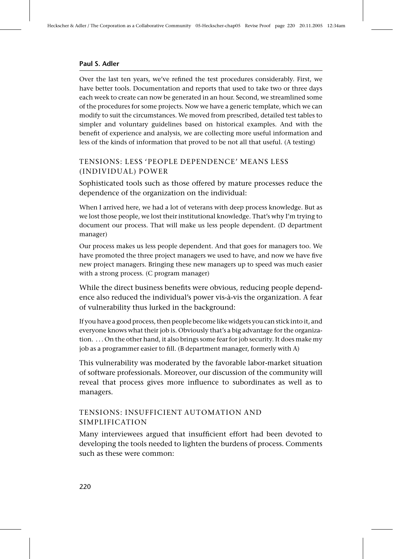Over the last ten years, we've refined the test procedures considerably. First, we have better tools. Documentation and reports that used to take two or three days each week to create can now be generated in an hour. Second, we streamlined some of the procedures for some projects. Now we have a generic template, which we can modify to suit the circumstances. We moved from prescribed, detailed test tables to simpler and voluntary guidelines based on historical examples. And with the benefit of experience and analysis, we are collecting more useful information and less of the kinds of information that proved to be not all that useful. (A testing)

# TENSIONS: LESS 'PEOPLE DEPENDENCE' MEANS LESS (INDIVIDUAL) POWER

Sophisticated tools such as those offered by mature processes reduce the dependence of the organization on the individual:

When I arrived here, we had a lot of veterans with deep process knowledge. But as we lost those people, we lost their institutional knowledge. That's why I'm trying to document our process. That will make us less people dependent. (D department manager)

Our process makes us less people dependent. And that goes for managers too. We have promoted the three project managers we used to have, and now we have five new project managers. Bringing these new managers up to speed was much easier with a strong process. (C program manager)

While the direct business benefits were obvious, reducing people dependence also reduced the individual's power vis-à-vis the organization. A fear of vulnerability thus lurked in the background:

If you have a good process, then people become like widgets you can stick into it, and everyone knows what their job is. Obviously that's a big advantage for the organization. . . . On the other hand, it also brings some fear for job security. It does make my job as a programmer easier to fill. (B department manager, formerly with A)

This vulnerability was moderated by the favorable labor-market situation of software professionals. Moreover, our discussion of the community will reveal that process gives more influence to subordinates as well as to managers.

# TENSIONS: INSUFFICIENT AUTOMATION AND SIMPLIFICATION

Many interviewees argued that insufficient effort had been devoted to developing the tools needed to lighten the burdens of process. Comments such as these were common: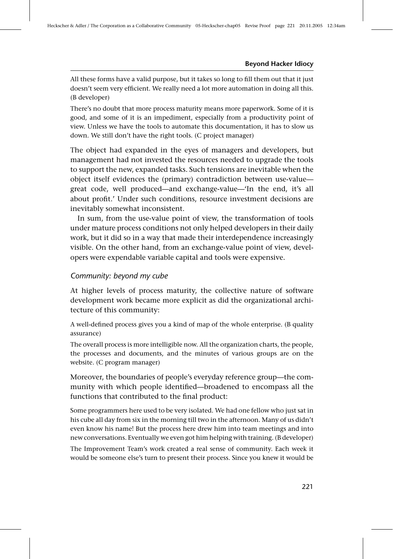All these forms have a valid purpose, but it takes so long to fill them out that it just doesn't seem very efficient. We really need a lot more automation in doing all this. (B developer)

There's no doubt that more process maturity means more paperwork. Some of it is good, and some of it is an impediment, especially from a productivity point of view. Unless we have the tools to automate this documentation, it has to slow us down. We still don't have the right tools. (C project manager)

The object had expanded in the eyes of managers and developers, but management had not invested the resources needed to upgrade the tools to support the new, expanded tasks. Such tensions are inevitable when the object itself evidences the (primary) contradiction between use-value great code, well produced—and exchange-value—'In the end, it's all about profit.' Under such conditions, resource investment decisions are inevitably somewhat inconsistent.

In sum, from the use-value point of view, the transformation of tools under mature process conditions not only helped developers in their daily work, but it did so in a way that made their interdependence increasingly visible. On the other hand, from an exchange-value point of view, developers were expendable variable capital and tools were expensive.

# Community: beyond my cube

At higher levels of process maturity, the collective nature of software development work became more explicit as did the organizational architecture of this community:

A well-defined process gives you a kind of map of the whole enterprise. (B quality assurance)

The overall process is more intelligible now. All the organization charts, the people, the processes and documents, and the minutes of various groups are on the website. (C program manager)

Moreover, the boundaries of people's everyday reference group—the community with which people identified—broadened to encompass all the functions that contributed to the final product:

Some programmers here used to be very isolated. We had one fellow who just sat in his cube all day from six in the morning till two in the afternoon. Many of us didn't even know his name! But the process here drew him into team meetings and into new conversations. Eventually we even got him helping with training. (B developer)

The Improvement Team's work created a real sense of community. Each week it would be someone else's turn to present their process. Since you knew it would be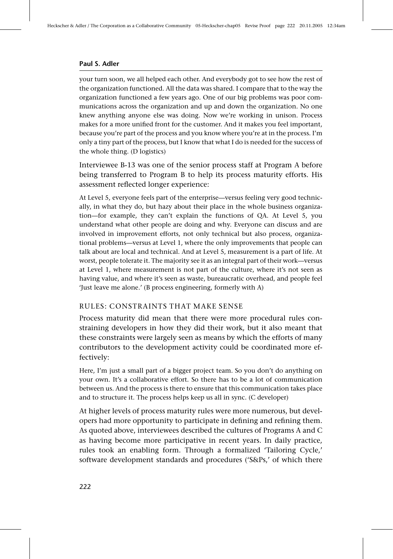your turn soon, we all helped each other. And everybody got to see how the rest of the organization functioned. All the data was shared. I compare that to the way the organization functioned a few years ago. One of our big problems was poor communications across the organization and up and down the organization. No one knew anything anyone else was doing. Now we're working in unison. Process makes for a more unified front for the customer. And it makes you feel important, because you're part of the process and you know where you're at in the process. I'm only a tiny part of the process, but I know that what I do is needed for the success of the whole thing. (D logistics)

Interviewee B-13 was one of the senior process staff at Program A before being transferred to Program B to help its process maturity efforts. His assessment reflected longer experience:

At Level 5, everyone feels part of the enterprise—versus feeling very good technically, in what they do, but hazy about their place in the whole business organization—for example, they can't explain the functions of QA. At Level 5, you understand what other people are doing and why. Everyone can discuss and are involved in improvement efforts, not only technical but also process, organizational problems—versus at Level 1, where the only improvements that people can talk about are local and technical. And at Level 5, measurement is a part of life. At worst, people tolerate it. The majority see it as an integral part of their work—versus at Level 1, where measurement is not part of the culture, where it's not seen as having value, and where it's seen as waste, bureaucratic overhead, and people feel 'Just leave me alone.' (B process engineering, formerly with A)

# RULES: CONSTRAINTS THAT MAKE SENSE

Process maturity did mean that there were more procedural rules constraining developers in how they did their work, but it also meant that these constraints were largely seen as means by which the efforts of many contributors to the development activity could be coordinated more effectively:

Here, I'm just a small part of a bigger project team. So you don't do anything on your own. It's a collaborative effort. So there has to be a lot of communication between us. And the process is there to ensure that this communication takes place and to structure it. The process helps keep us all in sync. (C developer)

At higher levels of process maturity rules were more numerous, but developers had more opportunity to participate in defining and refining them. As quoted above, interviewees described the cultures of Programs A and C as having become more participative in recent years. In daily practice, rules took an enabling form. Through a formalized 'Tailoring Cycle,' software development standards and procedures ('S&Ps,' of which there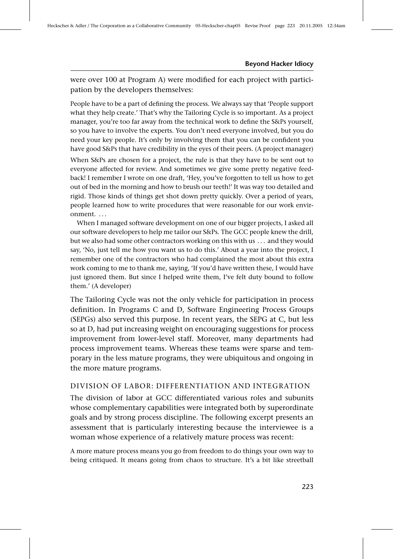were over 100 at Program A) were modified for each project with participation by the developers themselves:

People have to be a part of defining the process. We always say that 'People support what they help create.' That's why the Tailoring Cycle is so important. As a project manager, you're too far away from the technical work to define the S&Ps yourself, so you have to involve the experts. You don't need everyone involved, but you do need your key people. It's only by involving them that you can be confident you have good S&Ps that have credibility in the eyes of their peers. (A project manager)

When S&Ps are chosen for a project, the rule is that they have to be sent out to everyone affected for review. And sometimes we give some pretty negative feedback! I remember I wrote on one draft, 'Hey, you've forgotten to tell us how to get out of bed in the morning and how to brush our teeth!' It was way too detailed and rigid. Those kinds of things get shot down pretty quickly. Over a period of years, people learned how to write procedures that were reasonable for our work environment. . . .

When I managed software development on one of our bigger projects, I asked all our software developers to help me tailor our S&Ps. The GCC people knew the drill, but we also had some other contractors working on this with us . . . and they would say, 'No, just tell me how you want us to do this.' About a year into the project, I remember one of the contractors who had complained the most about this extra work coming to me to thank me, saying, 'If you'd have written these, I would have just ignored them. But since I helped write them, I've felt duty bound to follow them.' (A developer)

The Tailoring Cycle was not the only vehicle for participation in process definition. In Programs C and D, Software Engineering Process Groups (SEPGs) also served this purpose. In recent years, the SEPG at C, but less so at D, had put increasing weight on encouraging suggestions for process improvement from lower-level staff. Moreover, many departments had process improvement teams. Whereas these teams were sparse and temporary in the less mature programs, they were ubiquitous and ongoing in the more mature programs.

# DIVISION OF LABOR: DIFFERENTIATION AND INTEGRATION

The division of labor at GCC differentiated various roles and subunits whose complementary capabilities were integrated both by superordinate goals and by strong process discipline. The following excerpt presents an assessment that is particularly interesting because the interviewee is a woman whose experience of a relatively mature process was recent:

A more mature process means you go from freedom to do things your own way to being critiqued. It means going from chaos to structure. It's a bit like streetball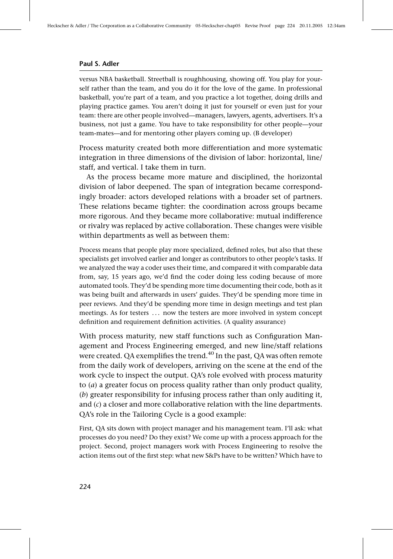versus NBA basketball. Streetball is roughhousing, showing off. You play for yourself rather than the team, and you do it for the love of the game. In professional basketball, you're part of a team, and you practice a lot together, doing drills and playing practice games. You aren't doing it just for yourself or even just for your team: there are other people involved—managers, lawyers, agents, advertisers. It's a business, not just a game. You have to take responsibility for other people—your team-mates—and for mentoring other players coming up. (B developer)

Process maturity created both more differentiation and more systematic integration in three dimensions of the division of labor: horizontal, line/ staff, and vertical. I take them in turn.

As the process became more mature and disciplined, the horizontal division of labor deepened. The span of integration became correspondingly broader: actors developed relations with a broader set of partners. These relations became tighter: the coordination across groups became more rigorous. And they became more collaborative: mutual indifference or rivalry was replaced by active collaboration. These changes were visible within departments as well as between them:

Process means that people play more specialized, defined roles, but also that these specialists get involved earlier and longer as contributors to other people's tasks. If we analyzed the way a coder uses their time, and compared it with comparable data from, say, 15 years ago, we'd find the coder doing less coding because of more automated tools. They'd be spending more time documenting their code, both as it was being built and afterwards in users' guides. They'd be spending more time in peer reviews. And they'd be spending more time in design meetings and test plan meetings. As for testers . . . now the testers are more involved in system concept definition and requirement definition activities. (A quality assurance)

With process maturity, new staff functions such as Configuration Management and Process Engineering emerged, and new line/staff relations were created. QA exemplifies the trend. $40$  In the past, QA was often remote from the daily work of developers, arriving on the scene at the end of the work cycle to inspect the output. QA's role evolved with process maturity to  $(a)$  a greater focus on process quality rather than only product quality, (b) greater responsibility for infusing process rather than only auditing it, and (c) a closer and more collaborative relation with the line departments. QA's role in the Tailoring Cycle is a good example:

First, QA sits down with project manager and his management team. I'll ask: what processes do you need? Do they exist? We come up with a process approach for the project. Second, project managers work with Process Engineering to resolve the action items out of the first step: what new S&Ps have to be written? Which have to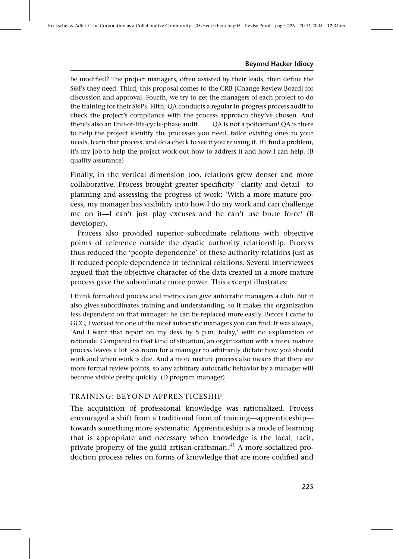be modified? The project managers, often assisted by their leads, then define the S&Ps they need. Third, this proposal comes to the CRB [Change Review Board] for discussion and approval. Fourth, we try to get the managers of each project to do the training for their S&Ps. Fifth, QA conducts a regular in-progress process audit to check the project's compliance with the process approach they've chosen. And there's also an End-of-life-cycle-phase audit. . . . QA is not a policeman! QA is there to help the project identify the processes you need, tailor existing ones to your needs, learn that process, and do a check to see if you're using it. If I find a problem, it's my job to help the project work out how to address it and how I can help. (B quality assurance)

Finally, in the vertical dimension too, relations grew denser and more collaborative. Process brought greater specificity—clarity and detail—to planning and assessing the progress of work: 'With a more mature process, my manager has visibility into how I do my work and can challenge me on it—I can't just play excuses and he can't use brute force' (B developer).

Process also provided superior–subordinate relations with objective points of reference outside the dyadic authority relationship. Process thus reduced the 'people dependence' of these authority relations just as it reduced people dependence in technical relations. Several interviewees argued that the objective character of the data created in a more mature process gave the subordinate more power. This excerpt illustrates:

I think formalized process and metrics can give autocratic managers a club. But it also gives subordinates training and understanding, so it makes the organization less dependent on that manager: he can be replaced more easily. Before I came to GCC, I worked for one of the most autocratic managers you can find. It was always, 'And I want that report on my desk by 5 p.m. today,' with no explanation or rationale. Compared to that kind of situation, an organization with a more mature process leaves a lot less room for a manager to arbitrarily dictate how you should work and when work is due. And a more mature process also means that there are more formal review points, so any arbitrary autocratic behavior by a manager will become visible pretty quickly. (D program manager)

# TRAINING: BEYOND APPRENTICESHIP

The acquisition of professional knowledge was rationalized. Process encouraged a shift from a traditional form of training—apprenticeship towards something more systematic. Apprenticeship is a mode of learning that is appropriate and necessary when knowledge is the local, tacit, private property of the guild artisan-craftsman.<sup>41</sup> A more socialized production process relies on forms of knowledge that are more codified and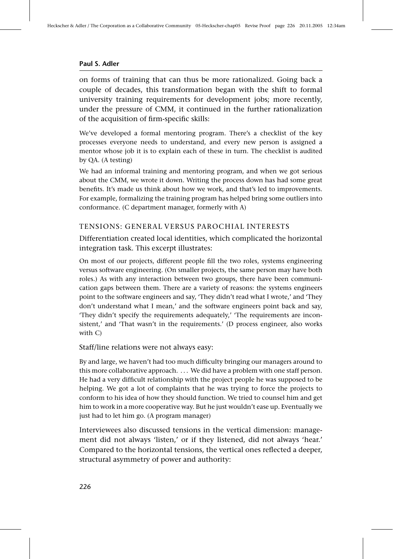on forms of training that can thus be more rationalized. Going back a couple of decades, this transformation began with the shift to formal university training requirements for development jobs; more recently, under the pressure of CMM, it continued in the further rationalization of the acquisition of firm-specific skills:

We've developed a formal mentoring program. There's a checklist of the key processes everyone needs to understand, and every new person is assigned a mentor whose job it is to explain each of these in turn. The checklist is audited by QA. (A testing)

We had an informal training and mentoring program, and when we got serious about the CMM, we wrote it down. Writing the process down has had some great benefits. It's made us think about how we work, and that's led to improvements. For example, formalizing the training program has helped bring some outliers into conformance. (C department manager, formerly with A)

# TENSIONS: GENERAL VERSUS PAROCHIAL INTERESTS

Differentiation created local identities, which complicated the horizontal integration task. This excerpt illustrates:

On most of our projects, different people fill the two roles, systems engineering versus software engineering. (On smaller projects, the same person may have both roles.) As with any interaction between two groups, there have been communication gaps between them. There are a variety of reasons: the systems engineers point to the software engineers and say, 'They didn't read what I wrote,' and 'They don't understand what I mean,' and the software engineers point back and say, 'They didn't specify the requirements adequately,' 'The requirements are inconsistent,' and 'That wasn't in the requirements.' (D process engineer, also works with C)

Staff/line relations were not always easy:

By and large, we haven't had too much difficulty bringing our managers around to this more collaborative approach. . . . We did have a problem with one staff person. He had a very difficult relationship with the project people he was supposed to be helping. We got a lot of complaints that he was trying to force the projects to conform to his idea of how they should function. We tried to counsel him and get him to work in a more cooperative way. But he just wouldn't ease up. Eventually we just had to let him go. (A program manager)

Interviewees also discussed tensions in the vertical dimension: management did not always 'listen,' or if they listened, did not always 'hear.' Compared to the horizontal tensions, the vertical ones reflected a deeper, structural asymmetry of power and authority: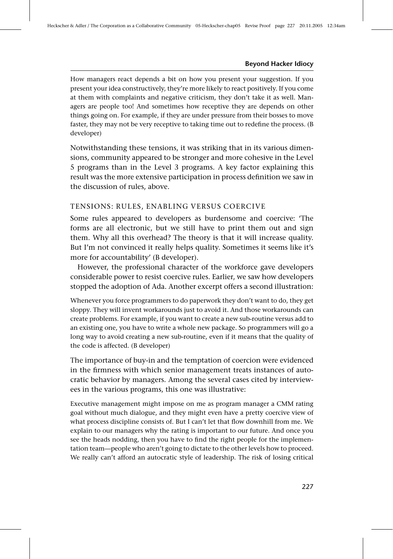How managers react depends a bit on how you present your suggestion. If you present your idea constructively, they're more likely to react positively. If you come at them with complaints and negative criticism, they don't take it as well. Managers are people too! And sometimes how receptive they are depends on other things going on. For example, if they are under pressure from their bosses to move faster, they may not be very receptive to taking time out to redefine the process. (B developer)

Notwithstanding these tensions, it was striking that in its various dimensions, community appeared to be stronger and more cohesive in the Level 5 programs than in the Level 3 programs. A key factor explaining this result was the more extensive participation in process definition we saw in the discussion of rules, above.

## TENSIONS: RULES, ENABLING VERSUS COERCIVE

Some rules appeared to developers as burdensome and coercive: 'The forms are all electronic, but we still have to print them out and sign them. Why all this overhead? The theory is that it will increase quality. But I'm not convinced it really helps quality. Sometimes it seems like it's more for accountability' (B developer).

However, the professional character of the workforce gave developers considerable power to resist coercive rules. Earlier, we saw how developers stopped the adoption of Ada. Another excerpt offers a second illustration:

Whenever you force programmers to do paperwork they don't want to do, they get sloppy. They will invent workarounds just to avoid it. And those workarounds can create problems. For example, if you want to create a new sub-routine versus add to an existing one, you have to write a whole new package. So programmers will go a long way to avoid creating a new sub-routine, even if it means that the quality of the code is affected. (B developer)

The importance of buy-in and the temptation of coercion were evidenced in the firmness with which senior management treats instances of autocratic behavior by managers. Among the several cases cited by interviewees in the various programs, this one was illustrative:

Executive management might impose on me as program manager a CMM rating goal without much dialogue, and they might even have a pretty coercive view of what process discipline consists of. But I can't let that flow downhill from me. We explain to our managers why the rating is important to our future. And once you see the heads nodding, then you have to find the right people for the implementation team—people who aren't going to dictate to the other levels how to proceed. We really can't afford an autocratic style of leadership. The risk of losing critical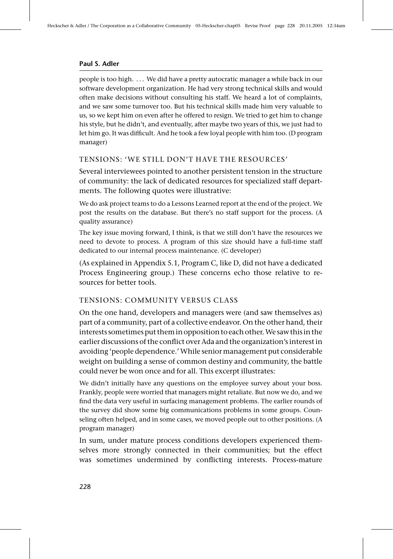people is too high. . . . We did have a pretty autocratic manager a while back in our software development organization. He had very strong technical skills and would often make decisions without consulting his staff. We heard a lot of complaints, and we saw some turnover too. But his technical skills made him very valuable to us, so we kept him on even after he offered to resign. We tried to get him to change his style, but he didn't, and eventually, after maybe two years of this, we just had to let him go. It was difficult. And he took a few loyal people with him too. (D program manager)

# TENSIONS: 'WE STILL DON'T HAVE THE RESOURCES'

Several interviewees pointed to another persistent tension in the structure of community: the lack of dedicated resources for specialized staff departments. The following quotes were illustrative:

We do ask project teams to do a Lessons Learned report at the end of the project. We post the results on the database. But there's no staff support for the process. (A quality assurance)

The key issue moving forward, I think, is that we still don't have the resources we need to devote to process. A program of this size should have a full-time staff dedicated to our internal process maintenance. (C developer)

(As explained in Appendix 5.1, Program C, like D, did not have a dedicated Process Engineering group.) These concerns echo those relative to resources for better tools.

# TENSIONS: COMMUNITY VERSUS CLASS

On the one hand, developers and managers were (and saw themselves as) part of a community, part of a collective endeavor. On the other hand, their interests sometimes put them in opposition to each other.We saw this in the earlier discussions of the conflict over Ada and the organization's interest in avoiding 'people dependence.'While senior management put considerable weight on building a sense of common destiny and community, the battle could never be won once and for all. This excerpt illustrates:

We didn't initially have any questions on the employee survey about your boss. Frankly, people were worried that managers might retaliate. But now we do, and we find the data very useful in surfacing management problems. The earlier rounds of the survey did show some big communications problems in some groups. Counseling often helped, and in some cases, we moved people out to other positions. (A program manager)

In sum, under mature process conditions developers experienced themselves more strongly connected in their communities; but the effect was sometimes undermined by conflicting interests. Process-mature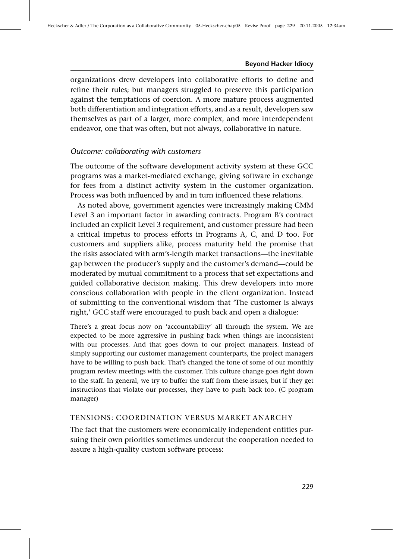organizations drew developers into collaborative efforts to define and refine their rules; but managers struggled to preserve this participation against the temptations of coercion. A more mature process augmented both differentiation and integration efforts, and as a result, developers saw themselves as part of a larger, more complex, and more interdependent endeavor, one that was often, but not always, collaborative in nature.

# Outcome: collaborating with customers

The outcome of the software development activity system at these GCC programs was a market-mediated exchange, giving software in exchange for fees from a distinct activity system in the customer organization. Process was both influenced by and in turn influenced these relations.

As noted above, government agencies were increasingly making CMM Level 3 an important factor in awarding contracts. Program B's contract included an explicit Level 3 requirement, and customer pressure had been a critical impetus to process efforts in Programs A, C, and D too. For customers and suppliers alike, process maturity held the promise that the risks associated with arm's-length market transactions—the inevitable gap between the producer's supply and the customer's demand—could be moderated by mutual commitment to a process that set expectations and guided collaborative decision making. This drew developers into more conscious collaboration with people in the client organization. Instead of submitting to the conventional wisdom that 'The customer is always right,' GCC staff were encouraged to push back and open a dialogue:

There's a great focus now on 'accountability' all through the system. We are expected to be more aggressive in pushing back when things are inconsistent with our processes. And that goes down to our project managers. Instead of simply supporting our customer management counterparts, the project managers have to be willing to push back. That's changed the tone of some of our monthly program review meetings with the customer. This culture change goes right down to the staff. In general, we try to buffer the staff from these issues, but if they get instructions that violate our processes, they have to push back too. (C program manager)

# TENSIONS: COORDINATION VERSUS MARKET ANARCHY

The fact that the customers were economically independent entities pursuing their own priorities sometimes undercut the cooperation needed to assure a high-quality custom software process: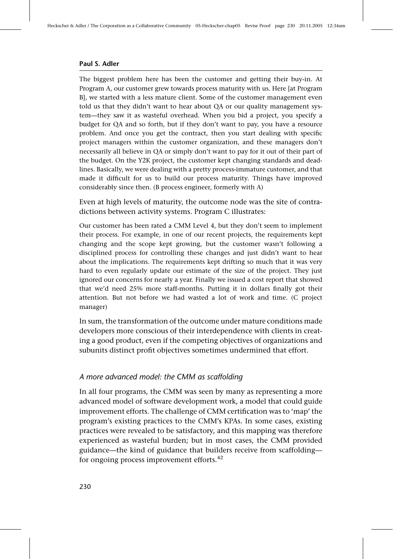The biggest problem here has been the customer and getting their buy-in. At Program A, our customer grew towards process maturity with us. Here [at Program B], we started with a less mature client. Some of the customer management even told us that they didn't want to hear about QA or our quality management system—they saw it as wasteful overhead. When you bid a project, you specify a budget for QA and so forth, but if they don't want to pay, you have a resource problem. And once you get the contract, then you start dealing with specific project managers within the customer organization, and these managers don't necessarily all believe in QA or simply don't want to pay for it out of their part of the budget. On the Y2K project, the customer kept changing standards and deadlines. Basically, we were dealing with a pretty process-immature customer, and that made it difficult for us to build our process maturity. Things have improved considerably since then. (B process engineer, formerly with A)

Even at high levels of maturity, the outcome node was the site of contradictions between activity systems. Program C illustrates:

Our customer has been rated a CMM Level 4, but they don't seem to implement their process. For example, in one of our recent projects, the requirements kept changing and the scope kept growing, but the customer wasn't following a disciplined process for controlling these changes and just didn't want to hear about the implications. The requirements kept drifting so much that it was very hard to even regularly update our estimate of the size of the project. They just ignored our concerns for nearly a year. Finally we issued a cost report that showed that we'd need 25% more staff-months. Putting it in dollars finally got their attention. But not before we had wasted a lot of work and time. (C project manager)

In sum, the transformation of the outcome under mature conditions made developers more conscious of their interdependence with clients in creating a good product, even if the competing objectives of organizations and subunits distinct profit objectives sometimes undermined that effort.

# A more advanced model: the CMM as scaffolding

In all four programs, the CMM was seen by many as representing a more advanced model of software development work, a model that could guide improvement efforts. The challenge of CMM certification was to 'map' the program's existing practices to the CMM's KPAs. In some cases, existing practices were revealed to be satisfactory, and this mapping was therefore experienced as wasteful burden; but in most cases, the CMM provided guidance—the kind of guidance that builders receive from scaffolding for ongoing process improvement efforts.<sup>42</sup>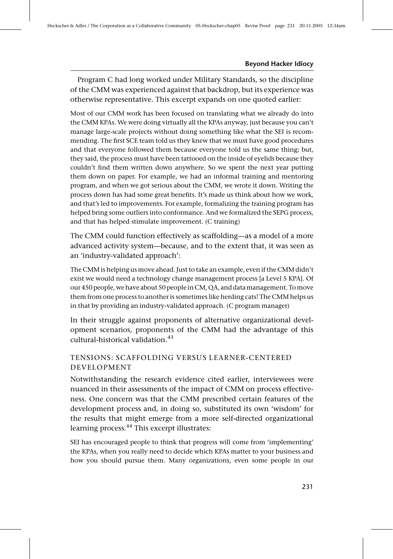Program C had long worked under Military Standards, so the discipline of the CMM was experienced against that backdrop, but its experience was otherwise representative. This excerpt expands on one quoted earlier:

Most of our CMM work has been focused on translating what we already do into the CMM KPAs. We were doing virtually all the KPAs anyway, just because you can't manage large-scale projects without doing something like what the SEI is recommending. The first SCE team told us they knew that we must have good procedures and that everyone followed them because everyone told us the same thing; but, they said, the process must have been tattooed on the inside of eyelids because they couldn't find them written down anywhere. So we spent the next year putting them down on paper. For example, we had an informal training and mentoring program, and when we got serious about the CMM, we wrote it down. Writing the process down has had some great benefits. It's made us think about how we work, and that's led to improvements. For example, formalizing the training program has helped bring some outliers into conformance. And we formalized the SEPG process, and that has helped stimulate improvement. (C training)

The CMM could function effectively as scaffolding—as a model of a more advanced activity system—because, and to the extent that, it was seen as an 'industry-validated approach':

The CMM is helping us move ahead. Just to take an example, even if the CMM didn't exist we would need a technology change management process [a Level 5 KPA]. Of our 450 people, we have about 50 people in CM, QA, and data management. To move them from one process to another is sometimes like herding cats! The CMM helps us in that by providing an industry-validated approach. (C program manager)

In their struggle against proponents of alternative organizational development scenarios, proponents of the CMM had the advantage of this cultural-historical validation.<sup>43</sup>

# TENSIONS: SCAFFOLDING VERSUS LEARNER-CENTERED DEVELOPMENT

Notwithstanding the research evidence cited earlier, interviewees were nuanced in their assessments of the impact of CMM on process effectiveness. One concern was that the CMM prescribed certain features of the development process and, in doing so, substituted its own 'wisdom' for the results that might emerge from a more self-directed organizational learning process.<sup>44</sup> This excerpt illustrates:

SEI has encouraged people to think that progress will come from 'implementing' the KPAs, when you really need to decide which KPAs matter to your business and how you should pursue them. Many organizations, even some people in our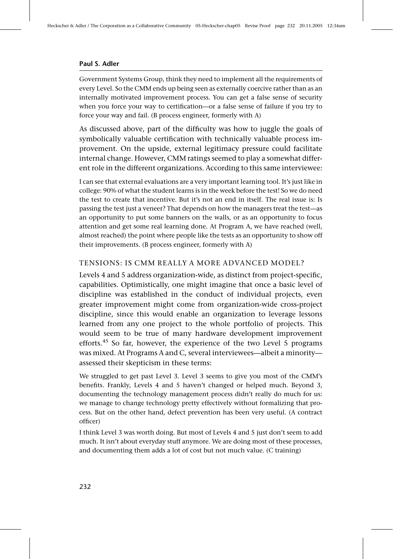Government Systems Group, think they need to implement all the requirements of every Level. So the CMM ends up being seen as externally coercive rather than as an internally motivated improvement process. You can get a false sense of security when you force your way to certification—or a false sense of failure if you try to force your way and fail. (B process engineer, formerly with A)

As discussed above, part of the difficulty was how to juggle the goals of symbolically valuable certification with technically valuable process improvement. On the upside, external legitimacy pressure could facilitate internal change. However, CMM ratings seemed to play a somewhat different role in the different organizations. According to this same interviewee:

I can see that external evaluations are a very important learning tool. It's just like in college: 90% of what the student learns is in the week before the test! So we do need the test to create that incentive. But it's not an end in itself. The real issue is: Is passing the test just a veneer? That depends on how the managers treat the test—as an opportunity to put some banners on the walls, or as an opportunity to focus attention and get some real learning done. At Program A, we have reached (well, almost reached) the point where people like the tests as an opportunity to show off their improvements. (B process engineer, formerly with A)

## TENSIONS: IS CMM REALLY A MORE ADVANCED MODEL?

Levels 4 and 5 address organization-wide, as distinct from project-specific, capabilities. Optimistically, one might imagine that once a basic level of discipline was established in the conduct of individual projects, even greater improvement might come from organization-wide cross-project discipline, since this would enable an organization to leverage lessons learned from any one project to the whole portfolio of projects. This would seem to be true of many hardware development improvement efforts.<sup>45</sup> So far, however, the experience of the two Level 5 programs was mixed. At Programs A and C, several interviewees—albeit a minority assessed their skepticism in these terms:

We struggled to get past Level 3. Level 3 seems to give you most of the CMM's benefits. Frankly, Levels 4 and 5 haven't changed or helped much. Beyond 3, documenting the technology management process didn't really do much for us: we manage to change technology pretty effectively without formalizing that process. But on the other hand, defect prevention has been very useful. (A contract officer)

I think Level 3 was worth doing. But most of Levels 4 and 5 just don't seem to add much. It isn't about everyday stuff anymore. We are doing most of these processes, and documenting them adds a lot of cost but not much value. (C training)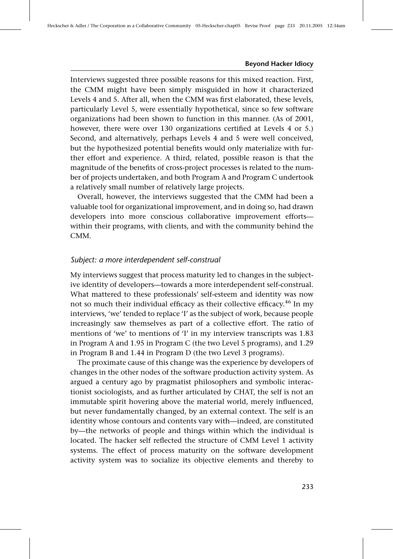Interviews suggested three possible reasons for this mixed reaction. First, the CMM might have been simply misguided in how it characterized Levels 4 and 5. After all, when the CMM was first elaborated, these levels, particularly Level 5, were essentially hypothetical, since so few software organizations had been shown to function in this manner. (As of 2001, however, there were over 130 organizations certified at Levels 4 or 5.) Second, and alternatively, perhaps Levels 4 and 5 were well conceived, but the hypothesized potential benefits would only materialize with further effort and experience. A third, related, possible reason is that the magnitude of the benefits of cross-project processes is related to the number of projects undertaken, and both Program A and Program C undertook a relatively small number of relatively large projects.

Overall, however, the interviews suggested that the CMM had been a valuable tool for organizational improvement, and in doing so, had drawn developers into more conscious collaborative improvement efforts within their programs, with clients, and with the community behind the CMM.

# Subject: a more interdependent self-construal

My interviews suggest that process maturity led to changes in the subjective identity of developers—towards a more interdependent self-construal. What mattered to these professionals' self-esteem and identity was now not so much their individual efficacy as their collective efficacy.<sup>46</sup> In my interviews, 'we' tended to replace 'I' as the subject of work, because people increasingly saw themselves as part of a collective effort. The ratio of mentions of 'we' to mentions of 'I' in my interview transcripts was 1.83 in Program A and 1.95 in Program C (the two Level 5 programs), and 1.29 in Program B and 1.44 in Program D (the two Level 3 programs).

The proximate cause of this change was the experience by developers of changes in the other nodes of the software production activity system. As argued a century ago by pragmatist philosophers and symbolic interactionist sociologists, and as further articulated by CHAT, the self is not an immutable spirit hovering above the material world, merely influenced, but never fundamentally changed, by an external context. The self is an identity whose contours and contents vary with—indeed, are constituted by—the networks of people and things within which the individual is located. The hacker self reflected the structure of CMM Level 1 activity systems. The effect of process maturity on the software development activity system was to socialize its objective elements and thereby to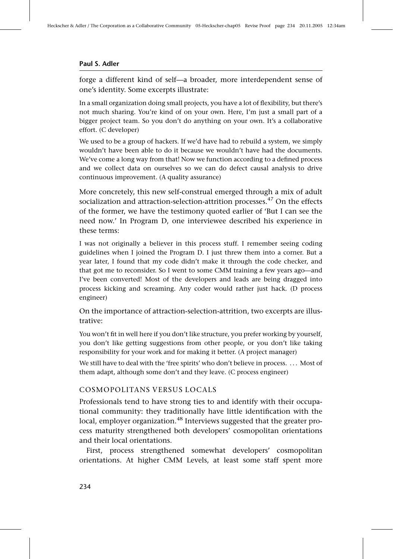forge a different kind of self—a broader, more interdependent sense of one's identity. Some excerpts illustrate:

In a small organization doing small projects, you have a lot of flexibility, but there's not much sharing. You're kind of on your own. Here, I'm just a small part of a bigger project team. So you don't do anything on your own. It's a collaborative effort. (C developer)

We used to be a group of hackers. If we'd have had to rebuild a system, we simply wouldn't have been able to do it because we wouldn't have had the documents. We've come a long way from that! Now we function according to a defined process and we collect data on ourselves so we can do defect causal analysis to drive continuous improvement. (A quality assurance)

More concretely, this new self-construal emerged through a mix of adult socialization and attraction-selection-attrition processes.<sup>47</sup> On the effects of the former, we have the testimony quoted earlier of 'But I can see the need now.' In Program D, one interviewee described his experience in these terms:

I was not originally a believer in this process stuff. I remember seeing coding guidelines when I joined the Program D. I just threw them into a corner. But a year later, I found that my code didn't make it through the code checker, and that got me to reconsider. So I went to some CMM training a few years ago—and I've been converted! Most of the developers and leads are being dragged into process kicking and screaming. Any coder would rather just hack. (D process engineer)

On the importance of attraction-selection-attrition, two excerpts are illustrative:

You won't fit in well here if you don't like structure, you prefer working by yourself, you don't like getting suggestions from other people, or you don't like taking responsibility for your work and for making it better. (A project manager)

We still have to deal with the 'free spirits' who don't believe in process. . . . Most of them adapt, although some don't and they leave. (C process engineer)

## COSMOPOLITANS VERSUS LOCALS

Professionals tend to have strong ties to and identify with their occupational community: they traditionally have little identification with the local, employer organization.<sup>48</sup> Interviews suggested that the greater process maturity strengthened both developers' cosmopolitan orientations and their local orientations.

First, process strengthened somewhat developers' cosmopolitan orientations. At higher CMM Levels, at least some staff spent more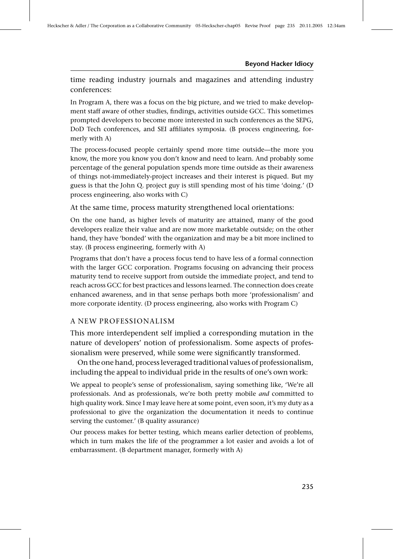time reading industry journals and magazines and attending industry conferences:

In Program A, there was a focus on the big picture, and we tried to make development staff aware of other studies, findings, activities outside GCC. This sometimes prompted developers to become more interested in such conferences as the SEPG, DoD Tech conferences, and SEI affiliates symposia. (B process engineering, formerly with A)

The process-focused people certainly spend more time outside—the more you know, the more you know you don't know and need to learn. And probably some percentage of the general population spends more time outside as their awareness of things not-immediately-project increases and their interest is piqued. But my guess is that the John Q. project guy is still spending most of his time 'doing.' (D process engineering, also works with C)

At the same time, process maturity strengthened local orientations:

On the one hand, as higher levels of maturity are attained, many of the good developers realize their value and are now more marketable outside; on the other hand, they have 'bonded' with the organization and may be a bit more inclined to stay. (B process engineering, formerly with A)

Programs that don't have a process focus tend to have less of a formal connection with the larger GCC corporation. Programs focusing on advancing their process maturity tend to receive support from outside the immediate project, and tend to reach across GCC for best practices and lessons learned. The connection does create enhanced awareness, and in that sense perhaps both more 'professionalism' and more corporate identity. (D process engineering, also works with Program C)

## A NEW PROFESSIONALISM

This more interdependent self implied a corresponding mutation in the nature of developers' notion of professionalism. Some aspects of professionalism were preserved, while some were significantly transformed.

On the one hand, process leveraged traditional values of professionalism, including the appeal to individual pride in the results of one's own work:

We appeal to people's sense of professionalism, saying something like, 'We're all professionals. And as professionals, we're both pretty mobile and committed to high quality work. Since I may leave here at some point, even soon, it's my duty as a professional to give the organization the documentation it needs to continue serving the customer.' (B quality assurance)

Our process makes for better testing, which means earlier detection of problems, which in turn makes the life of the programmer a lot easier and avoids a lot of embarrassment. (B department manager, formerly with A)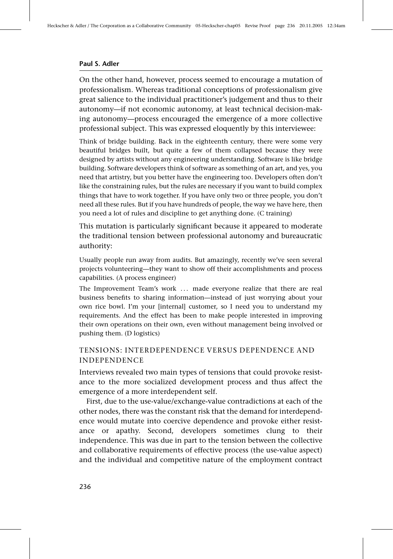On the other hand, however, process seemed to encourage a mutation of professionalism. Whereas traditional conceptions of professionalism give great salience to the individual practitioner's judgement and thus to their autonomy—if not economic autonomy, at least technical decision-making autonomy—process encouraged the emergence of a more collective professional subject. This was expressed eloquently by this interviewee:

Think of bridge building. Back in the eighteenth century, there were some very beautiful bridges built, but quite a few of them collapsed because they were designed by artists without any engineering understanding. Software is like bridge building. Software developers think of software as something of an art, and yes, you need that artistry, but you better have the engineering too. Developers often don't like the constraining rules, but the rules are necessary if you want to build complex things that have to work together. If you have only two or three people, you don't need all these rules. But if you have hundreds of people, the way we have here, then you need a lot of rules and discipline to get anything done. (C training)

This mutation is particularly significant because it appeared to moderate the traditional tension between professional autonomy and bureaucratic authority:

Usually people run away from audits. But amazingly, recently we've seen several projects volunteering—they want to show off their accomplishments and process capabilities. (A process engineer)

The Improvement Team's work ... made everyone realize that there are real business benefits to sharing information—instead of just worrying about your own rice bowl. I'm your [internal] customer, so I need you to understand my requirements. And the effect has been to make people interested in improving their own operations on their own, even without management being involved or pushing them. (D logistics)

# TENSIONS: INTERDEPENDENCE VERSUS DEPENDENCE AND INDEPENDENCE

Interviews revealed two main types of tensions that could provoke resistance to the more socialized development process and thus affect the emergence of a more interdependent self.

First, due to the use-value/exchange-value contradictions at each of the other nodes, there was the constant risk that the demand for interdependence would mutate into coercive dependence and provoke either resistance or apathy. Second, developers sometimes clung to their independence. This was due in part to the tension between the collective and collaborative requirements of effective process (the use-value aspect) and the individual and competitive nature of the employment contract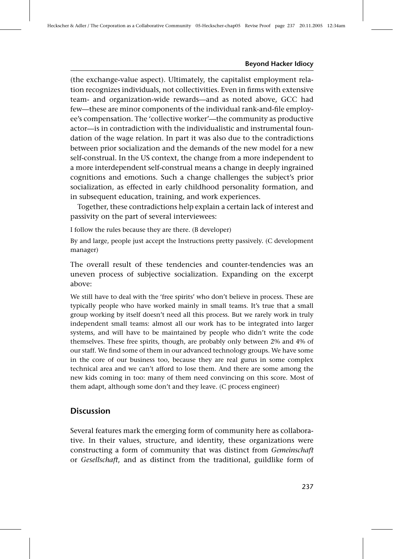(the exchange-value aspect). Ultimately, the capitalist employment relation recognizes individuals, not collectivities. Even in firms with extensive team- and organization-wide rewards—and as noted above, GCC had few—these are minor components of the individual rank-and-file employee's compensation. The 'collective worker'—the community as productive actor—is in contradiction with the individualistic and instrumental foundation of the wage relation. In part it was also due to the contradictions between prior socialization and the demands of the new model for a new self-construal. In the US context, the change from a more independent to a more interdependent self-construal means a change in deeply ingrained cognitions and emotions. Such a change challenges the subject's prior socialization, as effected in early childhood personality formation, and in subsequent education, training, and work experiences.

Together, these contradictions help explain a certain lack of interest and passivity on the part of several interviewees:

I follow the rules because they are there. (B developer)

By and large, people just accept the Instructions pretty passively. (C development manager)

The overall result of these tendencies and counter-tendencies was an uneven process of subjective socialization. Expanding on the excerpt above:

We still have to deal with the 'free spirits' who don't believe in process. These are typically people who have worked mainly in small teams. It's true that a small group working by itself doesn't need all this process. But we rarely work in truly independent small teams: almost all our work has to be integrated into larger systems, and will have to be maintained by people who didn't write the code themselves. These free spirits, though, are probably only between 2% and 4% of our staff. We find some of them in our advanced technology groups. We have some in the core of our business too, because they are real gurus in some complex technical area and we can't afford to lose them. And there are some among the new kids coming in too: many of them need convincing on this score. Most of them adapt, although some don't and they leave. (C process engineer)

# **Discussion**

Several features mark the emerging form of community here as collaborative. In their values, structure, and identity, these organizations were constructing a form of community that was distinct from Gemeinschaft or Gesellschaft, and as distinct from the traditional, guildlike form of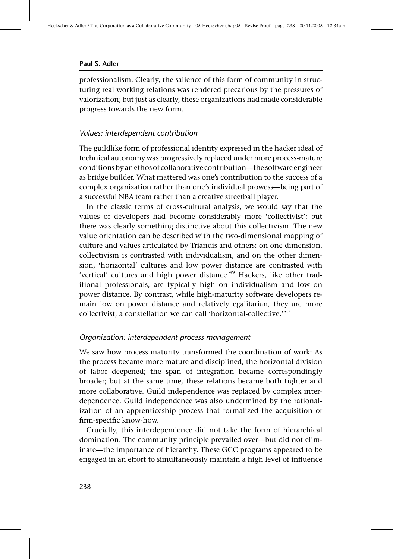professionalism. Clearly, the salience of this form of community in structuring real working relations was rendered precarious by the pressures of valorization; but just as clearly, these organizations had made considerable progress towards the new form.

## Values: interdependent contribution

The guildlike form of professional identity expressed in the hacker ideal of technical autonomy was progressively replaced under more process-mature conditions by an ethos of collaborative contribution—the software engineer as bridge builder. What mattered was one's contribution to the success of a complex organization rather than one's individual prowess—being part of a successful NBA team rather than a creative streetball player.

In the classic terms of cross-cultural analysis, we would say that the values of developers had become considerably more 'collectivist'; but there was clearly something distinctive about this collectivism. The new value orientation can be described with the two-dimensional mapping of culture and values articulated by Triandis and others: on one dimension, collectivism is contrasted with individualism, and on the other dimension, 'horizontal' cultures and low power distance are contrasted with 'vertical' cultures and high power distance.<sup>49</sup> Hackers, like other traditional professionals, are typically high on individualism and low on power distance. By contrast, while high-maturity software developers remain low on power distance and relatively egalitarian, they are more collectivist, a constellation we can call 'horizontal-collective.'<sup>50</sup>

# Organization: interdependent process management

We saw how process maturity transformed the coordination of work: As the process became more mature and disciplined, the horizontal division of labor deepened; the span of integration became correspondingly broader; but at the same time, these relations became both tighter and more collaborative. Guild independence was replaced by complex interdependence. Guild independence was also undermined by the rationalization of an apprenticeship process that formalized the acquisition of firm-specific know-how.

Crucially, this interdependence did not take the form of hierarchical domination. The community principle prevailed over—but did not eliminate—the importance of hierarchy. These GCC programs appeared to be engaged in an effort to simultaneously maintain a high level of influence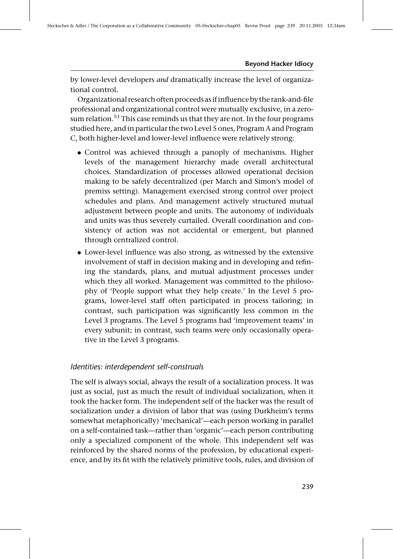by lower-level developers and dramatically increase the level of organizational control.

Organizational research often proceeds as if influence by the rank-and-file professional and organizational control were mutually exclusive, in a zerosum relation.<sup>51</sup> This case reminds us that they are not. In the four programs studied here, and in particular the two Level 5 ones, Program A and Program C, both higher-level and lower-level influence were relatively strong:

- . Control was achieved through a panoply of mechanisms. Higher levels of the management hierarchy made overall architectural choices. Standardization of processes allowed operational decision making to be safely decentralized (per March and Simon's model of premiss setting). Management exercised strong control over project schedules and plans. And management actively structured mutual adjustment between people and units. The autonomy of individuals and units was thus severely curtailed. Overall coordination and consistency of action was not accidental or emergent, but planned through centralized control.
- . Lower-level influence was also strong, as witnessed by the extensive involvement of staff in decision making and in developing and refining the standards, plans, and mutual adjustment processes under which they all worked. Management was committed to the philosophy of 'People support what they help create.' In the Level 5 programs, lower-level staff often participated in process tailoring; in contrast, such participation was significantly less common in the Level 3 programs. The Level 5 programs had 'improvement teams' in every subunit; in contrast, such teams were only occasionally operative in the Level 3 programs.

# Identities: interdependent self-construals

The self is always social, always the result of a socialization process. It was just as social, just as much the result of individual socialization, when it took the hacker form. The independent self of the hacker was the result of socialization under a division of labor that was (using Durkheim's terms somewhat metaphorically) 'mechanical'—each person working in parallel on a self-contained task—rather than 'organic'—each person contributing only a specialized component of the whole. This independent self was reinforced by the shared norms of the profession, by educational experience, and by its fit with the relatively primitive tools, rules, and division of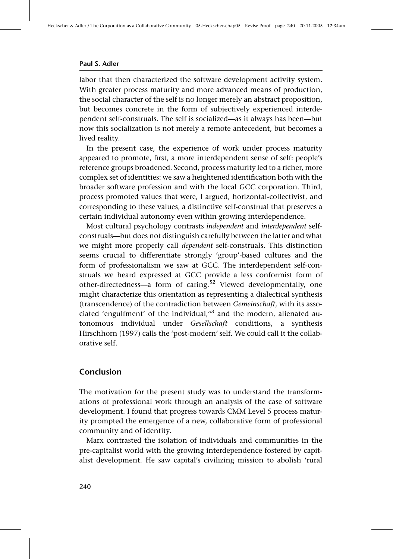labor that then characterized the software development activity system. With greater process maturity and more advanced means of production, the social character of the self is no longer merely an abstract proposition, but becomes concrete in the form of subjectively experienced interdependent self-construals. The self is socialized—as it always has been—but now this socialization is not merely a remote antecedent, but becomes a lived reality.

In the present case, the experience of work under process maturity appeared to promote, first, a more interdependent sense of self: people's reference groups broadened. Second, process maturity led to a richer, more complex set of identities: we saw a heightened identification both with the broader software profession and with the local GCC corporation. Third, process promoted values that were, I argued, horizontal-collectivist, and corresponding to these values, a distinctive self-construal that preserves a certain individual autonomy even within growing interdependence.

Most cultural psychology contrasts independent and interdependent selfconstruals—but does not distinguish carefully between the latter and what we might more properly call dependent self-construals. This distinction seems crucial to differentiate strongly 'group'-based cultures and the form of professionalism we saw at GCC. The interdependent self-construals we heard expressed at GCC provide a less conformist form of other-directedness—a form of caring.<sup>52</sup> Viewed developmentally, one might characterize this orientation as representing a dialectical synthesis (transcendence) of the contradiction between Gemeinschaft, with its associated 'engulfment' of the individual, $53$  and the modern, alienated autonomous individual under Gesellschaft conditions, a synthesis Hirschhorn (1997) calls the 'post-modern' self. We could call it the collaborative self.

# Conclusion

The motivation for the present study was to understand the transformations of professional work through an analysis of the case of software development. I found that progress towards CMM Level 5 process maturity prompted the emergence of a new, collaborative form of professional community and of identity.

Marx contrasted the isolation of individuals and communities in the pre-capitalist world with the growing interdependence fostered by capitalist development. He saw capital's civilizing mission to abolish 'rural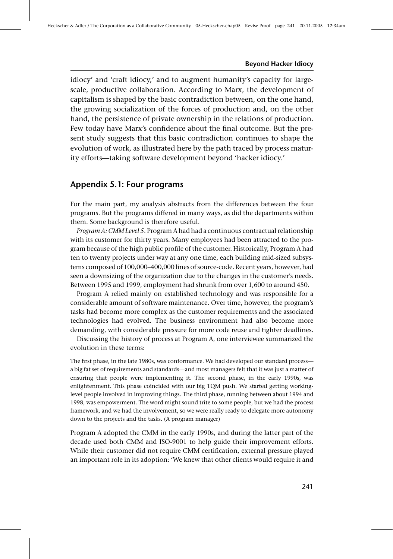idiocy' and 'craft idiocy,' and to augment humanity's capacity for largescale, productive collaboration. According to Marx, the development of capitalism is shaped by the basic contradiction between, on the one hand, the growing socialization of the forces of production and, on the other hand, the persistence of private ownership in the relations of production. Few today have Marx's confidence about the final outcome. But the present study suggests that this basic contradiction continues to shape the evolution of work, as illustrated here by the path traced by process maturity efforts—taking software development beyond 'hacker idiocy.'

# Appendix 5.1: Four programs

For the main part, my analysis abstracts from the differences between the four programs. But the programs differed in many ways, as did the departments within them. Some background is therefore useful.

Program A: CMM Level 5. Program A had had a continuous contractual relationship with its customer for thirty years. Many employees had been attracted to the program because of the high public profile of the customer. Historically, Program A had ten to twenty projects under way at any one time, each building mid-sized subsystems composed of 100,000–400,000 lines of source-code. Recent years, however, had seen a downsizing of the organization due to the changes in the customer's needs. Between 1995 and 1999, employment had shrunk from over 1,600 to around 450.

Program A relied mainly on established technology and was responsible for a considerable amount of software maintenance. Over time, however, the program's tasks had become more complex as the customer requirements and the associated technologies had evolved. The business environment had also become more demanding, with considerable pressure for more code reuse and tighter deadlines.

Discussing the history of process at Program A, one interviewee summarized the evolution in these terms:

The first phase, in the late 1980s, was conformance. We had developed our standard process a big fat set of requirements and standards—and most managers felt that it was just a matter of ensuring that people were implementing it. The second phase, in the early 1990s, was enlightenment. This phase coincided with our big TQM push. We started getting workinglevel people involved in improving things. The third phase, running between about 1994 and 1998, was empowerment. The word might sound trite to some people, but we had the process framework, and we had the involvement, so we were really ready to delegate more autonomy down to the projects and the tasks. (A program manager)

Program A adopted the CMM in the early 1990s, and during the latter part of the decade used both CMM and ISO-9001 to help guide their improvement efforts. While their customer did not require CMM certification, external pressure played an important role in its adoption: 'We knew that other clients would require it and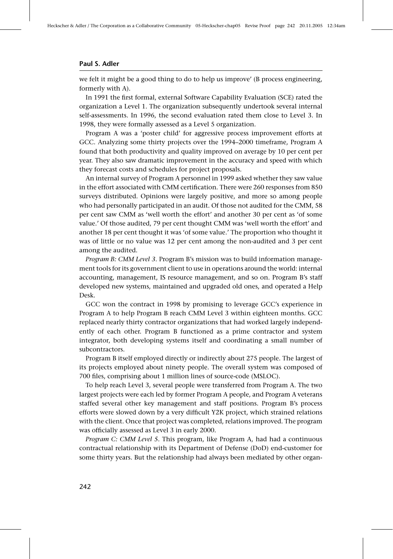we felt it might be a good thing to do to help us improve' (B process engineering, formerly with A).

In 1991 the first formal, external Software Capability Evaluation (SCE) rated the organization a Level 1. The organization subsequently undertook several internal self-assessments. In 1996, the second evaluation rated them close to Level 3. In 1998, they were formally assessed as a Level 5 organization.

Program A was a 'poster child' for aggressive process improvement efforts at GCC. Analyzing some thirty projects over the 1994–2000 timeframe, Program A found that both productivity and quality improved on average by 10 per cent per year. They also saw dramatic improvement in the accuracy and speed with which they forecast costs and schedules for project proposals.

An internal survey of Program A personnel in 1999 asked whether they saw value in the effort associated with CMM certification. There were 260 responses from 850 surveys distributed. Opinions were largely positive, and more so among people who had personally participated in an audit. Of those not audited for the CMM, 58 per cent saw CMM as 'well worth the effort' and another 30 per cent as 'of some value.' Of those audited, 79 per cent thought CMM was 'well worth the effort' and another 18 per cent thought it was 'of some value.' The proportion who thought it was of little or no value was 12 per cent among the non-audited and 3 per cent among the audited.

Program B: CMM Level 3. Program B's mission was to build information management tools for its government client to use in operations around the world: internal accounting, management, IS resource management, and so on. Program B's staff developed new systems, maintained and upgraded old ones, and operated a Help Desk.

GCC won the contract in 1998 by promising to leverage GCC's experience in Program A to help Program B reach CMM Level 3 within eighteen months. GCC replaced nearly thirty contractor organizations that had worked largely independently of each other. Program B functioned as a prime contractor and system integrator, both developing systems itself and coordinating a small number of subcontractors.

Program B itself employed directly or indirectly about 275 people. The largest of its projects employed about ninety people. The overall system was composed of 700 files, comprising about 1 million lines of source-code (MSLOC).

To help reach Level 3, several people were transferred from Program A. The two largest projects were each led by former Program A people, and Program A veterans staffed several other key management and staff positions. Program B's process efforts were slowed down by a very difficult Y2K project, which strained relations with the client. Once that project was completed, relations improved. The program was officially assessed as Level 3 in early 2000.

Program C: CMM Level 5. This program, like Program A, had had a continuous contractual relationship with its Department of Defense (DoD) end-customer for some thirty years. But the relationship had always been mediated by other organ-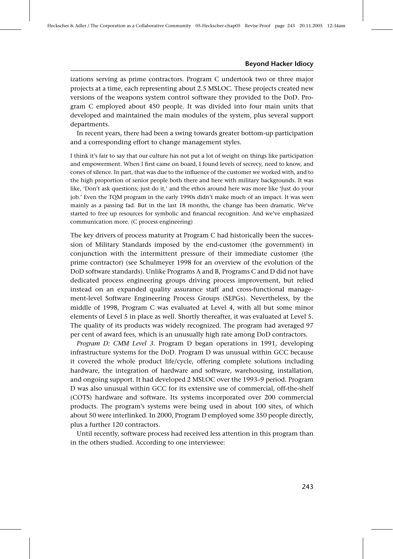izations serving as prime contractors. Program C undertook two or three major projects at a time, each representing about 2.5 MSLOC. These projects created new versions of the weapons system control software they provided to the DoD. Program C employed about 450 people. It was divided into four main units that developed and maintained the main modules of the system, plus several support departments.

In recent years, there had been a swing towards greater bottom-up participation and a corresponding effort to change management styles.

I think it's fair to say that our culture has not put a lot of weight on things like participation and empowerment. When I first came on board, I found levels of secrecy, need to know, and cones of silence. In part, that was due to the influence of the customer we worked with, and to the high proportion of senior people both there and here with military backgrounds. It was like, 'Don't ask questions; just do it,' and the ethos around here was more like 'Just do your job.' Even the TQM program in the early 1990s didn't make much of an impact. It was seen mainly as a passing fad. But in the last 18 months, the change has been dramatic. We've started to free up resources for symbolic and financial recognition. And we've emphasized communication more. (C process engineering)

The key drivers of process maturity at Program C had historically been the succession of Military Standards imposed by the end-customer (the government) in conjunction with the intermittent pressure of their immediate customer (the prime contractor) (see Schulmeyer 1998 for an overview of the evolution of the DoD software standards). Unlike Programs A and B, Programs C and D did not have dedicated process engineering groups driving process improvement, but relied instead on an expanded quality assurance staff and cross-functional management-level Software Engineering Process Groups (SEPGs). Nevertheless, by the middle of 1998, Program C was evaluated at Level 4, with all but some minor elements of Level 5 in place as well. Shortly thereafter, it was evaluated at Level 5. The quality of its products was widely recognized. The program had averaged 97 per cent of award fees, which is an unusually high rate among DoD contractors.

Program D: CMM Level 3. Program D began operations in 1991, developing infrastructure systems for the DoD. Program D was unusual within GCC because it covered the whole product life/cycle, offering complete solutions including hardware, the integration of hardware and software, warehousing, installation, and ongoing support. It had developed 2 MSLOC over the 1993–9 period. Program D was also unusual within GCC for its extensive use of commercial, off-the-shelf (COTS) hardware and software. Its systems incorporated over 200 commercial products. The program's systems were being used in about 100 sites, of which about 50 were interlinked. In 2000, Program D employed some 350 people directly, plus a further 120 contractors.

Until recently, software process had received less attention in this program than in the others studied. According to one interviewee: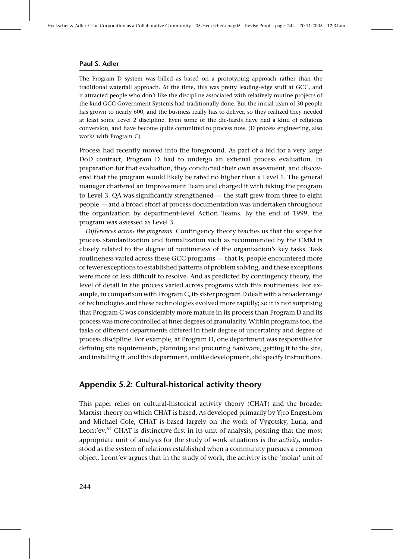The Program D system was billed as based on a prototyping approach rather than the traditional waterfall approach. At the time, this was pretty leading-edge stuff at GCC, and it attracted people who don't like the discipline associated with relatively routine projects of the kind GCC Government Systems had traditionally done. But the initial team of 30 people has grown to nearly 600, and the business really has to deliver, so they realized they needed at least some Level 2 discipline. Even some of the die-hards have had a kind of religious conversion, and have become quite committed to process now. (D process engineering, also works with Program C)

Process had recently moved into the foreground. As part of a bid for a very large DoD contract, Program D had to undergo an external process evaluation. In preparation for that evaluation, they conducted their own assessment, and discovered that the program would likely be rated no higher than a Level 1. The general manager chartered an Improvement Team and charged it with taking the program to Level 3. QA was significantly strengthened — the staff grew from three to eight people — and a broad effort at process documentation was undertaken throughout the organization by department-level Action Teams. By the end of 1999, the program was assessed as Level 3.

Differences across the programs. Contingency theory teaches us that the scope for process standardization and formalization such as recommended by the CMM is closely related to the degree of routineness of the organization's key tasks. Task routineness varied across these GCC programs — that is, people encountered more or fewer exceptions to established patterns of problem solving, and these exceptions were more or less difficult to resolve. And as predicted by contingency theory, the level of detail in the process varied across programs with this routineness. For example, in comparison with Program C, its sister program D dealt with a broader range of technologies and these technologies evolved more rapidly; so it is not surprising that Program C was considerably more mature in its process than Program D and its process was more controlled at finer degrees of granularity.Within programs too, the tasks of different departments differed in their degree of uncertainty and degree of process discipline. For example, at Program D, one department was responsible for defining site requirements, planning and procuring hardware, getting it to the site, and installing it, and this department, unlike development, did specify Instructions.

# Appendix 5.2: Cultural-historical activity theory

This paper relies on cultural-historical activity theory (CHAT) and the broader Marxist theory on which CHAT is based. As developed primarily by Yjro Engeström and Michael Cole, CHAT is based largely on the work of Vygotsky, Luria, and Leont'ev.54 CHAT is distinctive first in its unit of analysis, positing that the most appropriate unit of analysis for the study of work situations is the *activity*, understood as the system of relations established when a community pursues a common object. Leont'ev argues that in the study of work, the activity is the 'molar' unit of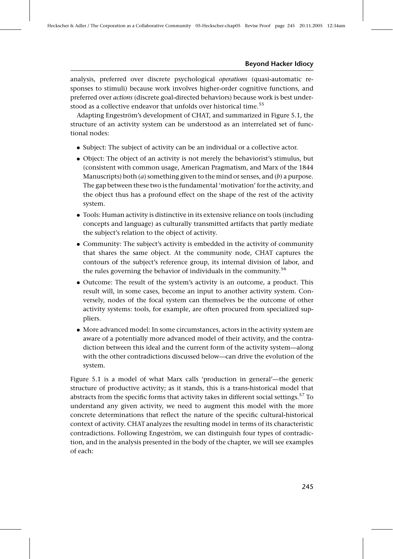analysis, preferred over discrete psychological operations (quasi-automatic responses to stimuli) because work involves higher-order cognitive functions, and preferred over actions (discrete goal-directed behaviors) because work is best understood as a collective endeavor that unfolds over historical time.<sup>55</sup>

Adapting Engeström's development of CHAT, and summarized in Figure 5.1, the structure of an activity system can be understood as an interrelated set of functional nodes:

- . Subject: The subject of activity can be an individual or a collective actor.
- . Object: The object of an activity is not merely the behaviorist's stimulus, but (consistent with common usage, American Pragmatism, and Marx of the 1844 Manuscripts) both (*a*) something given to the mind or senses, and (*b*) a purpose. The gap between these two is the fundamental 'motivation' for the activity, and the object thus has a profound effect on the shape of the rest of the activity system.
- . Tools: Human activity is distinctive in its extensive reliance on tools (including concepts and language) as culturally transmitted artifacts that partly mediate the subject's relation to the object of activity.
- . Community: The subject's activity is embedded in the activity of community that shares the same object. At the community node, CHAT captures the contours of the subject's reference group, its internal division of labor, and the rules governing the behavior of individuals in the community.<sup>56</sup>
- . Outcome: The result of the system's activity is an outcome, a product. This result will, in some cases, become an input to another activity system. Conversely, nodes of the focal system can themselves be the outcome of other activity systems: tools, for example, are often procured from specialized suppliers.
- . More advanced model: In some circumstances, actors in the activity system are aware of a potentially more advanced model of their activity, and the contradiction between this ideal and the current form of the activity system—along with the other contradictions discussed below—can drive the evolution of the system.

Figure 5.1 is a model of what Marx calls 'production in general'—the generic structure of productive activity; as it stands, this is a trans-historical model that abstracts from the specific forms that activity takes in different social settings.<sup>57</sup> To understand any given activity, we need to augment this model with the more concrete determinations that reflect the nature of the specific cultural-historical context of activity. CHAT analyzes the resulting model in terms of its characteristic contradictions. Following Engeström, we can distinguish four types of contradiction, and in the analysis presented in the body of the chapter, we will see examples of each: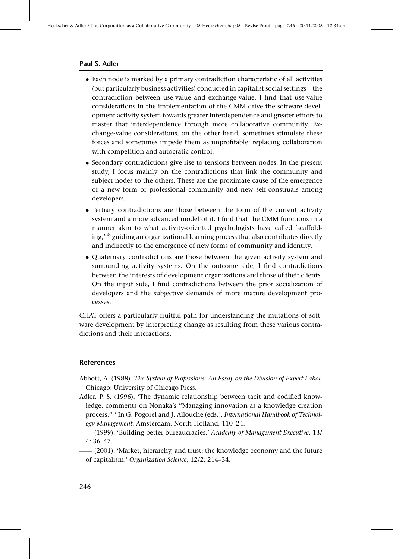- . Each node is marked by a primary contradiction characteristic of all activities (but particularly business activities) conducted in capitalist social settings—the contradiction between use-value and exchange-value. I find that use-value considerations in the implementation of the CMM drive the software development activity system towards greater interdependence and greater efforts to master that interdependence through more collaborative community. Exchange-value considerations, on the other hand, sometimes stimulate these forces and sometimes impede them as unprofitable, replacing collaboration with competition and autocratic control.
- . Secondary contradictions give rise to tensions between nodes. In the present study, I focus mainly on the contradictions that link the community and subject nodes to the others. These are the proximate cause of the emergence of a new form of professional community and new self-construals among developers.
- . Tertiary contradictions are those between the form of the current activity system and a more advanced model of it. I find that the CMM functions in a manner akin to what activity-oriented psychologists have called 'scaffolding,'<sup>58</sup> guiding an organizational learning process that also contributes directly and indirectly to the emergence of new forms of community and identity.
- . Quaternary contradictions are those between the given activity system and surrounding activity systems. On the outcome side, I find contradictions between the interests of development organizations and those of their clients. On the input side, I find contradictions between the prior socialization of developers and the subjective demands of more mature development processes.

CHAT offers a particularly fruitful path for understanding the mutations of software development by interpreting change as resulting from these various contradictions and their interactions.

## References

Abbott, A. (1988). The System of Professions: An Essay on the Division of Expert Labor. Chicago: University of Chicago Press.

- Adler, P. S. (1996). 'The dynamic relationship between tacit and codified knowledge: comments on Nonaka's ''Managing innovation as a knowledge creation process.'' ' In G. Pogorel and J. Allouche (eds.), International Handbook of Technology Management. Amsterdam: North-Holland: 110–24.
- (1999). 'Building better bureaucracies.' Academy of Management Executive, 13/ 4: 36–47.
- —— (2001). 'Market, hierarchy, and trust: the knowledge economy and the future of capitalism.' Organization Science, 12/2: 214–34.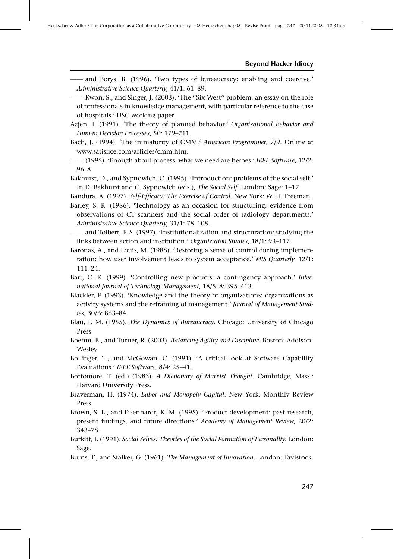- —— and Borys, B. (1996). 'Two types of bureaucracy: enabling and coercive.' Administrative Science Quarterly, 41/1: 61–89.
- —— Kwon, S., and Singer, J. (2003). 'The ''Six West'' problem: an essay on the role of professionals in knowledge management, with particular reference to the case of hospitals.' USC working paper.
- Azjen, I. (1991). 'The theory of planned behavior.' Organizational Behavior and Human Decision Processes, 50: 179–211.
- Bach, J. (1994). 'The immaturity of CMM.' American Programmer, 7/9. Online at www.satisfice.com/articles/cmm.htm.
- (1995). 'Enough about process: what we need are heroes.' IEEE Software, 12/2: 96–8.
- Bakhurst, D., and Sypnowich, C. (1995). 'Introduction: problems of the social self.' In D. Bakhurst and C. Sypnowich (eds.), The Social Self. London: Sage: 1–17.
- Bandura, A. (1997). Self-Efficacy: The Exercise of Control. New York: W. H. Freeman.
- Barley, S. R. (1986). 'Technology as an occasion for structuring: evidence from observations of CT scanners and the social order of radiology departments.' Administrative Science Quarterly, 31/1: 78–108.
- —— and Tolbert, P. S. (1997). 'Institutionalization and structuration: studying the links between action and institution.' Organization Studies, 18/1: 93–117.
- Baronas, A., and Louis, M. (1988). 'Restoring a sense of control during implementation: how user involvement leads to system acceptance.' MIS Quarterly, 12/1: 111–24.
- Bart, C. K. (1999). 'Controlling new products: a contingency approach.' International Journal of Technology Management, 18/5–8: 395–413.
- Blackler, F. (1993). 'Knowledge and the theory of organizations: organizations as activity systems and the reframing of management.' Journal of Management Studies, 30/6: 863–84.
- Blau, P. M. (1955). The Dynamics of Bureaucracy. Chicago: University of Chicago Press.
- Boehm, B., and Turner, R. (2003). Balancing Agility and Discipline. Boston: Addison-Wesley.
- Bollinger, T., and McGowan, C. (1991). 'A critical look at Software Capability Evaluations.' IEEE Software, 8/4: 25–41.
- Bottomore, T. (ed.) (1983). A Dictionary of Marxist Thought. Cambridge, Mass.: Harvard University Press.
- Braverman, H. (1974). Labor and Monopoly Capital. New York: Monthly Review Press.
- Brown, S. L., and Eisenhardt, K. M. (1995). 'Product development: past research, present findings, and future directions.' Academy of Management Review, 20/2: 343–78.
- Burkitt, I. (1991). Social Selves: Theories of the Social Formation of Personality. London: Sage.
- Burns, T., and Stalker, G. (1961). The Management of Innovation. London: Tavistock.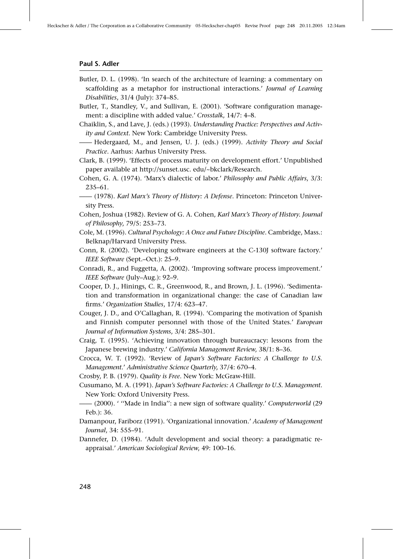- Butler, D. L. (1998). 'In search of the architecture of learning: a commentary on scaffolding as a metaphor for instructional interactions.' Journal of Learning Disabilities, 31/4 (July): 374–85.
- Butler, T., Standley, V., and Sullivan, E. (2001). 'Software configuration management: a discipline with added value.' Crosstalk, 14/7: 4–8.
- Chaiklin, S., and Lave, J. (eds.) (1993). Understanding Practice: Perspectives and Activity and Context. New York: Cambridge University Press.
- —— Hedergaard, M., and Jensen, U. J. (eds.) (1999). Activity Theory and Social Practice. Aarhus: Aarhus University Press.
- Clark, B. (1999). 'Effects of process maturity on development effort.' Unpublished paper available at http://sunset.usc. edu/~bkclark/Research.
- Cohen, G. A. (1974). 'Marx's dialectic of labor.' Philosophy and Public Affairs, 3/3: 235–61.
- —— (1978). Karl Marx's Theory of History: A Defense. Princeton: Princeton University Press.
- Cohen, Joshua (1982). Review of G. A. Cohen, Karl Marx's Theory of History. Journal of Philosophy, 79/5: 253–73.
- Cole, M. (1996). Cultural Psychology: A Once and Future Discipline. Cambridge, Mass.: Belknap/Harvard University Press.
- Conn, R. (2002). 'Developing software engineers at the C-130J software factory.' IEEE Software (Sept.–Oct.): 25–9.
- Conradi, R., and Fuggetta, A. (2002). 'Improving software process improvement.' IEEE Software (July–Aug.): 92–9.
- Cooper, D. J., Hinings, C. R., Greenwood, R., and Brown, J. L. (1996). 'Sedimentation and transformation in organizational change: the case of Canadian law firms.' Organization Studies, 17/4: 623–47.
- Couger, J. D., and O'Callaghan, R. (1994). 'Comparing the motivation of Spanish and Finnish computer personnel with those of the United States.' European Journal of Information Systems, 3/4: 285–301.
- Craig, T. (1995). 'Achieving innovation through bureaucracy: lessons from the Japanese brewing industry.' California Management Review, 38/1: 8–36.
- Crocca, W. T. (1992). 'Review of Japan's Software Factories: A Challenge to U.S. Management.' Administrative Science Quarterly, 37/4: 670–4.
- Crosby, P. B. (1979). Quality is Free. New York: McGraw-Hill.
- Cusumano, M. A. (1991). Japan's Software Factories: A Challenge to U.S. Management. New York: Oxford University Press.
- (2000). ' "Made in India": a new sign of software quality.' Computerworld (29) Feb.): 36.
- Damanpour, Fariborz (1991). 'Organizational innovation.' Academy of Management Journal, 34: 555–91.
- Dannefer, D. (1984). 'Adult development and social theory: a paradigmatic reappraisal.' American Sociological Review, 49: 100–16.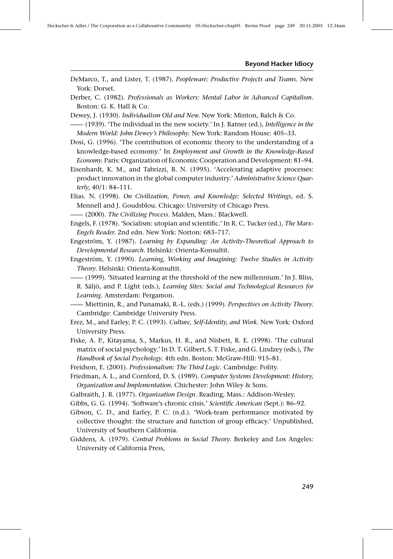| DeMarco, T., and Lister, T. (1987). Peopleware: Productive Projects and Teams. New       |
|------------------------------------------------------------------------------------------|
| York: Dorset.                                                                            |
| Derber, C. (1982). Professionals as Workers: Mental Labor in Advanced Capitalism.        |
| Boston: G. K. Hall & Co.                                                                 |
| Dewey, J. (1930). Individualism Old and New. New York: Minton, Balch & Co.               |
| -(1939). 'The individual in the new society.' In J. Ratner (ed.), Intelligence in the    |
| Modern World: John Dewey's Philosophy. New York: Random House: 405-33.                   |
| Dosi, G. (1996). 'The contribution of economic theory to the understanding of a          |
| knowledge-based economy.' In Employment and Growth in the Knowledge-Based                |
| Economy. Paris: Organization of Economic Cooperation and Development: 81-94.             |
| Eisenhardt, K. M., and Tabrizzi, B. N. (1995). 'Accelerating adaptive processes:         |
| product innovation in the global computer industry.' Administrative Science Quar-        |
| terly, 40/1: 84-111.                                                                     |
| Elias. N. (1998). On Civilization, Power, and Knowledge: Selected Writings, ed. S.       |
| Mennell and J. Goudsblou. Chicago: University of Chicago Press.                          |
| - (2000). The Civilizing Process. Malden, Mass.: Blackwell.                              |
| Engels, F. (1978). 'Socialism: utopian and scientific.' In R. C. Tucker (ed.), The Marx- |
| Engels Reader. 2nd edn. New York: Norton: 683-717.                                       |
| Engeström, Y. (1987). Learning by Expanding: An Activity-Theoretical Approach to         |
| Developmental Research. Helsinki: Orienta-Konsultit.                                     |
| Engeström, Y. (1990). Learning, Working and Imagining: Twelve Studies in Activity        |
| Theory. Helsinki: Orienta-Konsultit.                                                     |
| -(1999). 'Situated learning at the threshold of the new millennium.' In J. Bliss,        |
| R. Säljö, and P. Light (eds.), Learning Sites: Social and Technological Resources for    |
| Learning. Amsterdam: Pergamon.                                                           |
| - Miettinin, R., and Punamaki, R.-L. (eds.) (1999). Perspectives on Activity Theory.     |
| Cambridge: Cambridge University Press.                                                   |
| Erez, M., and Earley, P. C. (1993). Culture, Self-Identity, and Work. New York: Oxford   |
| University Press.                                                                        |
| Fiske, A. P., Kitayama, S., Markus, H. R., and Nisbett, R. E. (1998). 'The cultural      |
| matrix of social psychology.' In D. T. Gilbert, S. T. Fiske, and G. Lindzey (eds.), The  |
| Handbook of Social Psychology. 4th edn. Boston: McGraw-Hill: 915-81.                     |
| Freidson, E. (2001). Professionalism: The Third Logic. Cambridge: Polity.                |
| Friedman, A. L., and Cornford, D. S. (1989). Computer Systems Development: History,      |

Organization and Implementation. Chichester: John Wiley & Sons.

- Galbraith, J. R. (1977). Organization Design. Reading, Mass.: Addison-Wesley.
- Gibbs, G. G. (1994). 'Software's chronic crisis.' Scientific American (Sept.): 86–92.
- Gibson, C. D., and Earley, P. C. (n.d.). 'Work-team performance motivated by collective thought: the structure and function of group efficacy.' Unpublished, University of Southern California.

Giddens, A. (1979). Central Problems in Social Theory. Berkeley and Los Angeles: University of California Press,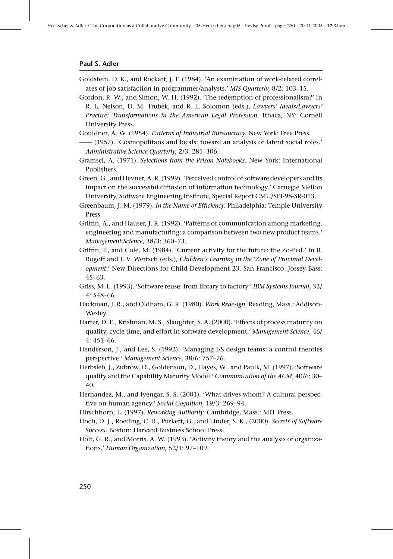- Goldstein, D. K., and Rockart, J. F. (1984). 'An examination of work-related correlates of job satisfaction in programmer/analysts.' MIS Quarterly, 8/2: 103–15.
- Gordon, R. W., and Simon, W. H. (1992). 'The redemption of professionalism?' In R. L. Nelson, D. M. Trubek, and R. L. Solomon (eds.), Lawyers' Ideals/Lawyers' Practice: Transformations in the American Legal Profession. Ithaca, NY: Cornell University Press.
- Gouldner, A. W. (1954). Patterns of Industrial Bureaucracy. New York: Free Press.
- —— (1957). 'Cosmopolitans and locals: toward an analysis of latent social roles.' Administrative Science Quarterly, 2/3: 281–306.
- Gramsci, A. (1971). Selections from the Prison Notebooks. New York: International Publishers.
- Green, G., and Hevner, A. R. (1999). 'Perceived control of software developers and its impact on the successful diffusion of information technology.' Carnegie Mellon University, Software Engineering Institute, Special Report CMU/SEI-98-SR-013.
- Greenbaum, J. M. (1979). In the Name of Efficiency. Philadelphia: Temple University Press.
- Griffin, A., and Hauser, J. R. (1992). 'Patterns of communication among marketing, engineering and manufacturing: a comparison between two new product teams.' Management Science, 38/3: 360–73.
- Griffin, P., and Cole, M. (1984). 'Current activity for the future: the Zo-Ped.' In B. Rogoff and J. V. Wertsch (eds.), Children's Learning in the 'Zone of Proximal Development.' New Directions for Child Development 23. San Francisco: Jossey-Bass: 45–63.
- Griss, M. L. (1993). 'Software reuse: from library to factory.' IBM Systems Journal, 32/ 4: 548–66.
- Hackman, J. R., and Oldham, G. R. (1980). Work Redesign. Reading, Mass.: Addison-Wesley.
- Harter, D. E., Krishnan, M. S., Slaughter, S. A. (2000). 'Effects of process maturity on quality, cycle time, and effort in software development.' Management Science, 46/ 4: 451–66.
- Henderson, J., and Lee, S. (1992). 'Managing I/S design teams: a control theories perspective.' Management Science, 38/6: 757–76.
- Herbsleb, J., Zubrow, D., Goldenson, D., Hayes, W., and Paulk, M. (1997). 'Software quality and the Capability Maturity Model.' Communication of the ACM, 40/6: 30– 40.
- Hernandez, M., and Iyengar, S. S. (2001). 'What drives whom? A cultural perspective on human agency.' Social Cognition, 19/3: 269–94.
- Hirschhorn, L. (1997). Reworking Authority. Cambridge, Mass.: MIT Press.
- Hoch, D. J., Roeding, C. R., Purkert, G., and Linder, S. K., (2000). Secrets of Software Success. Boston: Harvard Business School Press.
- Holt, G. R., and Morris, A. W. (1993). 'Activity theory and the analysis of organizations.' Human Organization, 52/1: 97–109.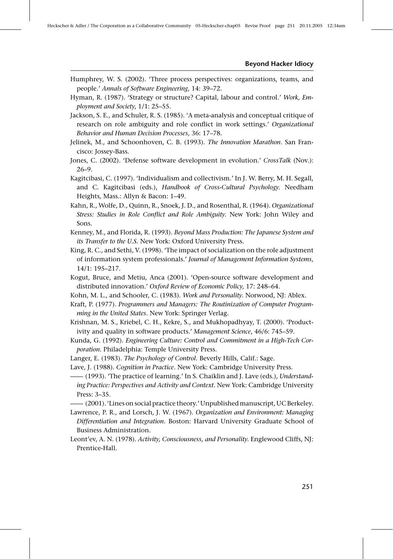Humphrey, W. S. (2002). 'Three process perspectives: organizations, teams, and people.' Annals of Software Engineering, 14: 39–72.

Hyman, R. (1987). 'Strategy or structure? Capital, labour and control.' Work, Employment and Society, 1/1: 25–55.

Jackson, S. E., and Schuler, R. S. (1985). 'A meta-analysis and conceptual critique of research on role ambiguity and role conflict in work settings.' Organizational Behavior and Human Decision Processes, 36: 17–78.

- Jelinek, M., and Schoonhoven, C. B. (1993). The Innovation Marathon. San Francisco: Jossey-Bass.
- Jones, C. (2002). 'Defense software development in evolution.' CrossTalk (Nov.): 26–9.
- Kagitcibasi, C. (1997). 'Individualism and collectivism.' In J. W. Berry, M. H. Segall, and C. Kagitcibasi (eds.), Handbook of Cross-Cultural Psychology. Needham Heights, Mass.: Allyn & Bacon: 1–49.
- Kahn, R., Wolfe, D., Quinn, R., Snoek, J. D., and Rosenthal, R. (1964). Organizational Stress: Studies in Role Conflict and Role Ambiguity. New York: John Wiley and Sons.
- Kenney, M., and Florida, R. (1993). Beyond Mass Production: The Japanese System and its Transfer to the U.S. New York: Oxford University Press.
- King, R. C., and Sethi, V. (1998). 'The impact of socialization on the role adjustment of information system professionals.' Journal of Management Information Systems, 14/1: 195–217.
- Kogut, Bruce, and Metiu, Anca (2001). 'Open-source software development and distributed innovation.' Oxford Review of Economic Policy, 17: 248–64.
- Kohn, M. L., and Schooler, C. (1983). Work and Personality. Norwood, NJ: Ablex.
- Kraft, P. (1977). Programmers and Managers: The Routinization of Computer Programming in the United States. New York: Springer Verlag.
- Krishnan, M. S., Kriebel, C. H., Kekre, S., and Mukhopadhyay, T. (2000). 'Productivity and quality in software products.' Management Science, 46/6: 745–59.
- Kunda, G. (1992). Engineering Culture: Control and Commitment in a High-Tech Corporation. Philadelphia: Temple University Press.
- Langer, E. (1983). The Psychology of Control. Beverly Hills, Calif.: Sage.
- Lave, J. (1988). Cognition in Practice. New York: Cambridge University Press.
- —— (1993). 'The practice of learning.' In S. Chaiklin and J. Lave (eds.), Understanding Practice: Perspectives and Activity and Context. New York: Cambridge University Press: 3–35.

—— (2001). 'Lines on social practice theory.' Unpublished manuscript, UC Berkeley.

- Lawrence, P. R., and Lorsch, J. W. (1967). Organization and Environment: Managing Differentiation and Integration. Boston: Harvard University Graduate School of Business Administration.
- Leont'ev, A. N. (1978). Activity, Consciousness, and Personality. Englewood Cliffs, NJ: Prentice-Hall.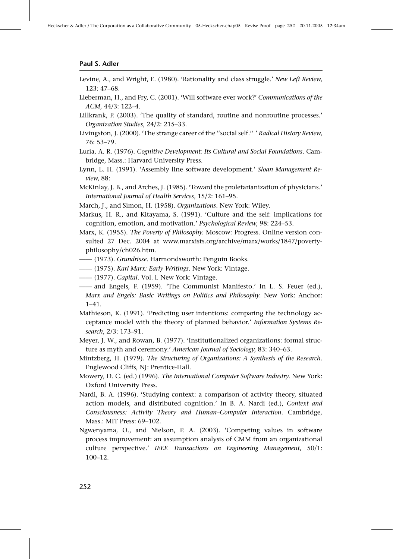- Levine, A., and Wright, E. (1980). 'Rationality and class struggle.' New Left Review, 123: 47–68.
- Lieberman, H., and Fry, C. (2001). 'Will software ever work?' Communications of the ACM, 44/3: 122–4.
- Lillkrank, P. (2003). 'The quality of standard, routine and nonroutine processes.' Organization Studies, 24/2: 215–33.
- Livingston, J. (2000). 'The strange career of the ''social self.'' ' Radical History Review, 76: 53–79.
- Luria, A. R. (1976). Cognitive Development: Its Cultural and Social Foundations. Cambridge, Mass.: Harvard University Press.
- Lynn, L. H. (1991). 'Assembly line software development.' Sloan Management Review, 88:
- McKinlay, J. B., and Arches, J. (1985). 'Toward the proletarianization of physicians.' International Journal of Health Services, 15/2: 161–95.
- March, J., and Simon, H. (1958). Organizations. New York: Wiley.
- Markus, H. R., and Kitayama, S. (1991). 'Culture and the self: implications for cognition, emotion, and motivation.' Psychological Review, 98: 224–53.
- Marx, K. (1955). The Poverty of Philosophy. Moscow: Progress. Online version consulted 27 Dec. 2004 at www.marxists.org/archive/marx/works/1847/povertyphilosophy/ch026.htm.
- —— (1973). Grundrisse. Harmondsworth: Penguin Books.
- (1975). Karl Marx: Early Writings. New York: Vintage.
- $-$  (1977). *Capital*. Vol. i. New York: Vintage.
- —— and Engels, F. (1959). 'The Communist Manifesto.' In L. S. Feuer (ed.), Marx and Engels: Basic Writings on Politics and Philosophy. New York: Anchor: 1–41.
- Mathieson, K. (1991). 'Predicting user intentions: comparing the technology acceptance model with the theory of planned behavior.' Information Systems Research, 2/3: 173–91.
- Meyer, J. W., and Rowan, B. (1977). 'Institutionalized organizations: formal structure as myth and ceremony.' American Journal of Sociology, 83: 340–63.
- Mintzberg, H. (1979). The Structuring of Organizations: A Synthesis of the Research. Englewood Cliffs, NJ: Prentice-Hall.
- Mowery, D. C. (ed.) (1996). The International Computer Software Industry. New York: Oxford University Press.
- Nardi, B. A. (1996). 'Studying context: a comparison of activity theory, situated action models, and distributed cognition.' In B. A. Nardi (ed.), Context and Consciousness: Activity Theory and Human–Computer Interaction. Cambridge, Mass.: MIT Press: 69–102.
- Ngwenyama, O., and Nielson, P. A. (2003). 'Competing values in software process improvement: an assumption analysis of CMM from an organizational culture perspective.' IEEE Transactions on Engineering Management, 50/1: 100–12.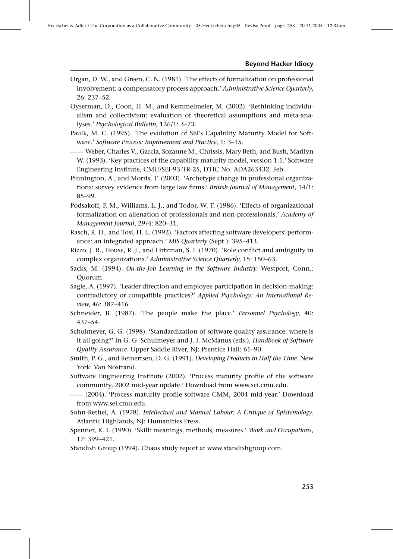- Organ, D. W., and Green, C. N. (1981). 'The effects of formalization on professional involvement: a compensatory process approach.' Administrative Science Quarterly, 26: 237–52.
- Oyserman, D., Coon, H. M., and Kemmelmeier, M. (2002). 'Rethinking individualism and collectivism: evaluation of theoretical assumptions and meta-analyses.' Psychological Bulletin, 126/1: 3–73.
- Paulk, M. C. (1995). 'The evolution of SEI's Capability Maturity Model for Software.' Software Process: Improvement and Practice, 1: 3–15.
- —— Weber, Charles V., Garcia, Sozanne M., Chrissis, Mary Beth, and Bush, Marilyn W. (1993). 'Key practices of the capability maturity model, version 1.1.' Software Engineering Institute, CMU/SEI-93-TR-25, DTIC No. ADA263432, Feb.
- Pinnington, A., and Morris, T. (2003). 'Archetype change in professional organizations: survey evidence from large law firms.' British Journal of Management, 14/1: 85–99.
- Podsakoff, P. M., Williams, L. J., and Todor, W. T. (1986). 'Effects of organizational formalization on alienation of professionals and non-professionals.' Academy of Management Journal, 29/4: 820–31.
- Rasch, R. H., and Tosi, H. L. (1992). 'Factors affecting software developers' performance: an integrated approach.' MIS Quarterly (Sept.): 395–413.
- Rizzo, J. R., House, R. J., and Lirtzman, S. I. (1970). 'Role conflict and ambiguity in complex organizations.' Administrative Science Quarterly, 15: 150–63.
- Sacks, M. (1994). On-the-Job Learning in the Software Industry. Westport, Conn.: Quorum.
- Sagie, A. (1997). 'Leader direction and employee participation in decision-making: contradictory or compatible practices?' Applied Psychology: An International Review, 46: 387–416.
- Schneider, B. (1987). 'The people make the place.' Personnel Psychology, 40: 437–54.
- Schulmeyer, G. G. (1998). 'Standardization of software quality assurance: where is it all going?' In G. G. Schulmeyer and J. I. McManus (eds.), Handbook of Software Quality Assurance. Upper Saddle River, NJ: Prentice Hall: 61–90.
- Smith, P. G., and Reinertsen, D. G. (1991). Developing Products in Half the Time. New York: Van Nostrand.
- Software Engineering Institute (2002). 'Process maturity profile of the software community, 2002 mid-year update.' Download from www.sei.cmu.edu.
- —— (2004). 'Process maturity profile software CMM, 2004 mid-year.' Download from www.sei.cmu.edu.
- Sohn-Rethel, A. (1978). Intellectual and Manual Labour: A Critique of Epistemology. Atlantic Highlands, NJ: Humanities Press.
- Spenner, K. I. (1990). 'Skill: meanings, methods, measures.' Work and Occupations, 17: 399–421.
- Standish Group (1994). Chaos study report at www.standishgroup.com.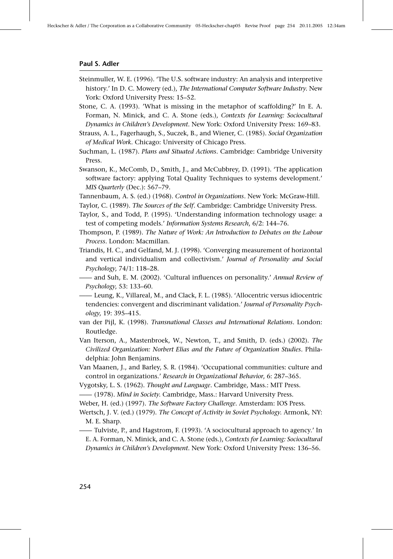- Steinmuller, W. E. (1996). 'The U.S. software industry: An analysis and interpretive history.' In D. C. Mowery (ed.), The International Computer Software Industry. New York: Oxford University Press: 15–52.
- Stone, C. A. (1993). 'What is missing in the metaphor of scaffolding?' In E. A. Forman, N. Minick, and C. A. Stone (eds.), Contexts for Learning: Sociocultural Dynamics in Children's Development. New York: Oxford University Press: 169–83.
- Strauss, A. L., Fagerhaugh, S., Suczek, B., and Wiener, C. (1985). Social Organization of Medical Work. Chicago: University of Chicago Press.
- Suchman, L. (1987). Plans and Situated Actions. Cambridge: Cambridge University Press.
- Swanson, K., McComb, D., Smith, J., and McCubbrey, D. (1991). 'The application software factory: applying Total Quality Techniques to systems development.' MIS Quarterly (Dec.): 567–79.
- Tannenbaum, A. S. (ed.) (1968). Control in Organizations. New York: McGraw-Hill.
- Taylor, C. (1989). The Sources of the Self. Cambridge: Cambridge University Press.
- Taylor, S., and Todd, P. (1995). 'Understanding information technology usage: a test of competing models.' Information Systems Research, 6/2: 144–76.
- Thompson, P. (1989). The Nature of Work: An Introduction to Debates on the Labour Process. London: Macmillan.
- Triandis, H. C., and Gelfand, M. J. (1998). 'Converging measurement of horizontal and vertical individualism and collectivism.' Journal of Personality and Social Psychology, 74/1: 118–28.
- —— and Suh, E. M. (2002). 'Cultural influences on personality.' Annual Review of Psychology, 53: 133–60.
- —— Leung, K., Villareal, M., and Clack, F. L. (1985). 'Allocentric versus idiocentric tendencies: convergent and discriminant validation.' Journal of Personality Psychology, 19: 395–415.
- van der Pijl, K. (1998). Transnational Classes and International Relations. London: Routledge.
- Van Iterson, A., Mastenbroek, W., Newton, T., and Smith, D. (eds.) (2002). The Civilized Organization: Norbert Elias and the Future of Organization Studies. Philadelphia: John Benjamins.
- Van Maanen, J., and Barley, S. R. (1984). 'Occupational communities: culture and control in organizations.' Research in Organizational Behavior, 6: 287–365.
- Vygotsky, L. S. (1962). Thought and Language. Cambridge, Mass.: MIT Press.
- (1978). Mind in Society. Cambridge, Mass.: Harvard University Press.
- Weber, H. (ed.) (1997). The Software Factory Challenge. Amsterdam: IOS Press.
- Wertsch, J. V. (ed.) (1979). The Concept of Activity in Soviet Psychology. Armonk, NY: M. E. Sharp.
- —— Tulviste, P., and Hagstrom, F. (1993). 'A sociocultural approach to agency.' In E. A. Forman, N. Minick, and C. A. Stone (eds.), Contexts for Learning: Sociocultural Dynamics in Children's Development. New York: Oxford University Press: 136–56.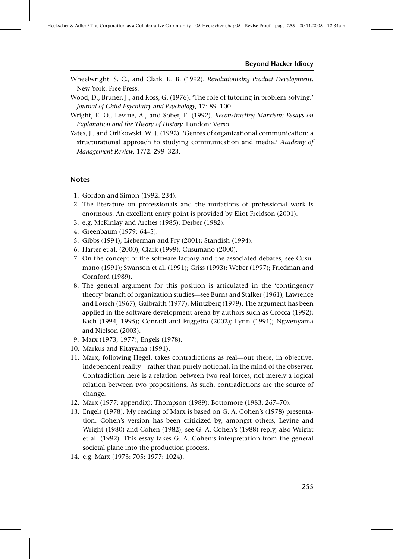- Wheelwright, S. C., and Clark, K. B. (1992). Revolutionizing Product Development. New York: Free Press.
- Wood, D., Bruner, J., and Ross, G. (1976). 'The role of tutoring in problem-solving.' Journal of Child Psychiatry and Psychology, 17: 89–100.
- Wright, E. O., Levine, A., and Sober, E. (1992). Reconstructing Marxism: Essays on Explanation and the Theory of History. London: Verso.
- Yates, J., and Orlikowski, W. J. (1992). 'Genres of organizational communication: a structurational approach to studying communication and media.' Academy of Management Review, 17/2: 299–323.

# Notes

- 1. Gordon and Simon (1992: 234).
- 2. The literature on professionals and the mutations of professional work is enormous. An excellent entry point is provided by Eliot Freidson (2001).
- 3. e.g. McKinlay and Arches (1985); Derber (1982).
- 4. Greenbaum (1979: 64–5).
- 5. Gibbs (1994); Lieberman and Fry (2001); Standish (1994).
- 6. Harter et al. (2000); Clark (1999); Cusumano (2000).
- 7. On the concept of the software factory and the associated debates, see Cusumano (1991); Swanson et al. (1991); Griss (1993): Weber (1997); Friedman and Cornford (1989).
- 8. The general argument for this position is articulated in the 'contingency theory' branch of organization studies—see Burns and Stalker (1961); Lawrence and Lorsch (1967); Galbraith (1977); Mintzberg (1979). The argument has been applied in the software development arena by authors such as Crocca (1992); Bach (1994, 1995); Conradi and Fuggetta (2002); Lynn (1991); Ngwenyama and Nielson (2003).
- 9. Marx (1973, 1977); Engels (1978).
- 10. Markus and Kitayama (1991).
- 11. Marx, following Hegel, takes contradictions as real—out there, in objective, independent reality—rather than purely notional, in the mind of the observer. Contradiction here is a relation between two real forces, not merely a logical relation between two propositions. As such, contradictions are the source of change.
- 12. Marx (1977: appendix); Thompson (1989); Bottomore (1983: 267–70).
- 13. Engels (1978). My reading of Marx is based on G. A. Cohen's (1978) presentation. Cohen's version has been criticized by, amongst others, Levine and Wright (1980) and Cohen (1982); see G. A. Cohen's (1988) reply, also Wright et al. (1992). This essay takes G. A. Cohen's interpretation from the general societal plane into the production process.
- 14. e.g. Marx (1973: 705; 1977: 1024).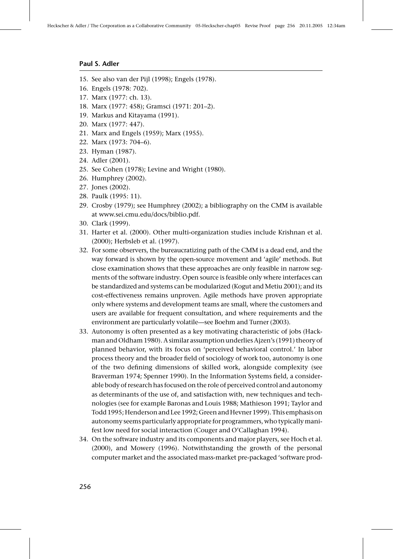- 15. See also van der Pijl (1998); Engels (1978).
- 16. Engels (1978: 702).
- 17. Marx (1977: ch. 13).
- 18. Marx (1977: 458); Gramsci (1971: 201–2).
- 19. Markus and Kitayama (1991).
- 20. Marx (1977: 447).
- 21. Marx and Engels (1959); Marx (1955).
- 22. Marx (1973: 704–6).
- 23. Hyman (1987).
- 24. Adler (2001).
- 25. See Cohen (1978); Levine and Wright (1980).
- 26. Humphrey (2002).
- 27. Jones (2002).
- 28. Paulk (1995: 11).
- 29. Crosby (1979); see Humphrey (2002); a bibliography on the CMM is available at www.sei.cmu.edu/docs/biblio.pdf.
- 30. Clark (1999).
- 31. Harter et al. (2000). Other multi-organization studies include Krishnan et al. (2000); Herbsleb et al. (1997).
- 32. For some observers, the bureaucratizing path of the CMM is a dead end, and the way forward is shown by the open-source movement and 'agile' methods. But close examination shows that these approaches are only feasible in narrow segments of the software industry. Open source is feasible only where interfaces can be standardized and systems can be modularized (Kogut and Metiu 2001); and its cost-effectiveness remains unproven. Agile methods have proven appropriate only where systems and development teams are small, where the customers and users are available for frequent consultation, and where requirements and the environment are particularly volatile—see Boehm and Turner (2003).
- 33. Autonomy is often presented as a key motivating characteristic of jobs (Hackman and Oldham 1980). A similar assumption underlies Ajzen's (1991) theory of planned behavior, with its focus on 'perceived behavioral control.' In labor process theory and the broader field of sociology of work too, autonomy is one of the two defining dimensions of skilled work, alongside complexity (see Braverman 1974; Spenner 1990). In the Information Systems field, a considerable body of research has focused on the role of perceived control and autonomy as determinants of the use of, and satisfaction with, new techniques and technologies (see for example Baronas and Louis 1988; Mathieson 1991; Taylor and Todd 1995; Henderson and Lee 1992; Green and Hevner 1999). This emphasis on autonomy seems particularly appropriate for programmers, who typicallymanifest low need for social interaction (Couger and O'Callaghan 1994).
- 34. On the software industry and its components and major players, see Hoch et al. (2000), and Mowery (1996). Notwithstanding the growth of the personal computer market and the associated mass-market pre-packaged 'software prod-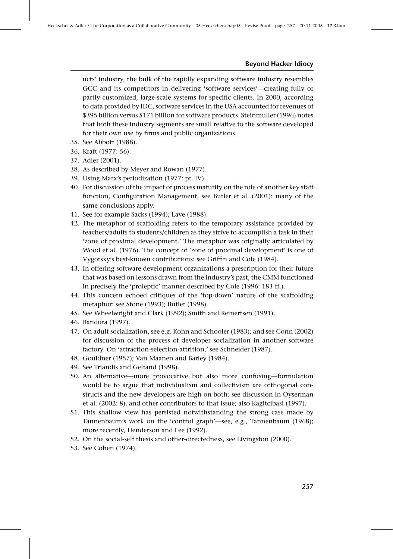ucts' industry, the bulk of the rapidly expanding software industry resembles GCC and its competitors in delivering 'software services'—creating fully or partly customized, large-scale systems for specific clients. In 2000, according to data provided by IDC, software services in the USA accounted for revenues of \$395 billion versus \$171 billion for software products. Steinmuller (1996) notes that both these industry segments are small relative to the software developed for their own use by firms and public organizations.

- 35. See Abbott (1988).
- 36. Kraft (1977: 56).
- 37. Adler (2001).
- 38. As described by Meyer and Rowan (1977).
- 39. Using Marx's periodization (1977: pt. IV).
- 40. For discussion of the impact of process maturity on the role of another key staff function, Configuration Management, see Butler et al. (2001): many of the same conclusions apply.
- 41. See for example Sacks (1994); Lave (1988).
- 42. The metaphor of scaffolding refers to the temporary assistance provided by teachers/adults to students/children as they strive to accomplish a task in their 'zone of proximal development.' The metaphor was originally articulated by Wood et al. (1976). The concept of 'zone of proximal development' is one of Vygotsky's best-known contributions: see Griffin and Cole (1984).
- 43. In offering software development organizations a prescription for their future that was based on lessons drawn from the industry's past, the CMM functioned in precisely the 'proleptic' manner described by Cole (1996: 183 ff.).
- 44. This concern echoed critiques of the 'top-down' nature of the scaffolding metaphor: see Stone (1993); Butler (1998).
- 45. See Wheelwright and Clark (1992); Smith and Reinertsen (1991).
- 46. Bandura (1997).
- 47. On adult socialization, see e.g. Kohn and Schooler (1983); and see Conn (2002) for discussion of the process of developer socialization in another software factory. On 'attraction-selection-attrition,' see Schneider (1987).
- 48. Gouldner (1957); Van Maanen and Barley (1984).
- 49. See Triandis and Gelfand (1998).
- 50. An alternative—more provocative but also more confusing—formulation would be to argue that individualism and collectivism are orthogonal constructs and the new developers are high on both: see discussion in Oyserman et al. (2002: 8), and other contributors to that issue; also Kagitcibasi (1997).
- 51. This shallow view has persisted notwithstanding the strong case made by Tannenbaum's work on the 'control graph'—see, e.g., Tannenbaum (1968); more recently, Henderson and Lee (1992).
- 52. On the social-self thesis and other-directedness, see Livingston (2000).
- 53. See Cohen (1974).